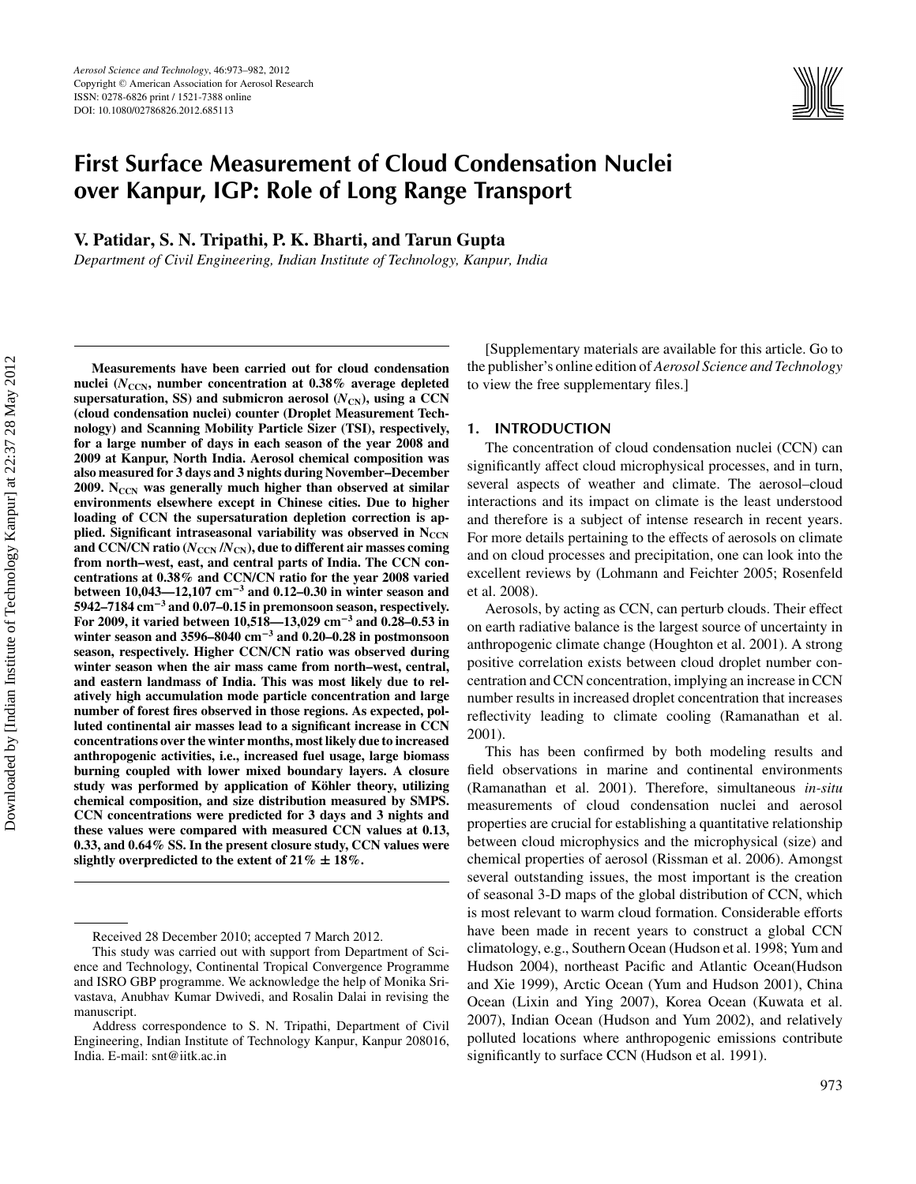# **First Surface Measurement of Cloud Condensation Nuclei over Kanpur, IGP: Role of Long Range Transport**

**V. Patidar, S. N. Tripathi, P. K. Bharti, and Tarun Gupta**

*Department of Civil Engineering, Indian Institute of Technology, Kanpur, India*

**Measurements have been carried out for cloud condensation** nuclei ( $N_{\text{CCN}}$ , number concentration at 0.38% average depleted supersaturation, SS) and submicron aerosol  $(N_{CN})$ , using a CCN **(cloud condensation nuclei) counter (Droplet Measurement Technology) and Scanning Mobility Particle Sizer (TSI), respectively, for a large number of days in each season of the year 2008 and 2009 at Kanpur, North India. Aerosol chemical composition was also measured for 3 days and 3 nights during November–December 2009.** N<sub>CCN</sub> was generally much higher than observed at similar **environments elsewhere except in Chinese cities. Due to higher loading of CCN the supersaturation depletion correction is ap**plied. Significant intraseasonal variability was observed in N<sub>CCN</sub> and CCN/CN ratio  $(N_{\text{CCN}}/N_{\text{CN}})$ , due to different air masses coming **from north–west, east, and central parts of India. The CCN concentrations at 0.38% and CCN/CN ratio for the year 2008 varied between 10,043—12,107 cm−<sup>3</sup> and 0.12–0.30 in winter season and 5942–7184 cm−<sup>3</sup> and 0.07–0.15 in premonsoon season, respectively. For 2009, it varied between 10,518—13,029 cm−<sup>3</sup> and 0.28–0.53 in winter season and 3596–8040 cm−<sup>3</sup> and 0.20–0.28 in postmonsoon season, respectively. Higher CCN/CN ratio was observed during winter season when the air mass came from north–west, central, and eastern landmass of India. This was most likely due to relatively high accumulation mode particle concentration and large number of forest fires observed in those regions. As expected, polluted continental air masses lead to a significant increase in CCN concentrations over the winter months, most likely due to increased anthropogenic activities, i.e., increased fuel usage, large biomass burning coupled with lower mixed boundary layers. A closure** study was performed by application of Köhler theory, utilizing **chemical composition, and size distribution measured by SMPS. CCN concentrations were predicted for 3 days and 3 nights and these values were compared with measured CCN values at 0.13, 0.33, and 0.64% SS. In the present closure study, CCN values were slightly overpredicted to the extent of 21% ± 18%.**

[Supplementary materials are available for this article. Go to the publisher's online edition of *Aerosol Science and Technology* to view the free supplementary files.]

# **1. INTRODUCTION**

The concentration of cloud condensation nuclei (CCN) can significantly affect cloud microphysical processes, and in turn, several aspects of weather and climate. The aerosol–cloud interactions and its impact on climate is the least understood and therefore is a subject of intense research in recent years. For more details pertaining to the effects of aerosols on climate and on cloud processes and precipitation, one can look into the excellent reviews by (Lohmann and Feichter 2005; Rosenfeld et al. 2008).

Aerosols, by acting as CCN, can perturb clouds. Their effect on earth radiative balance is the largest source of uncertainty in anthropogenic climate change (Houghton et al. 2001). A strong positive correlation exists between cloud droplet number concentration and CCN concentration, implying an increase in CCN number results in increased droplet concentration that increases reflectivity leading to climate cooling (Ramanathan et al. 2001).

This has been confirmed by both modeling results and field observations in marine and continental environments (Ramanathan et al. 2001). Therefore, simultaneous *in-situ* measurements of cloud condensation nuclei and aerosol properties are crucial for establishing a quantitative relationship between cloud microphysics and the microphysical (size) and chemical properties of aerosol (Rissman et al. 2006). Amongst several outstanding issues, the most important is the creation of seasonal 3-D maps of the global distribution of CCN, which is most relevant to warm cloud formation. Considerable efforts have been made in recent years to construct a global CCN climatology, e.g., Southern Ocean (Hudson et al. 1998; Yum and Hudson 2004), northeast Pacific and Atlantic Ocean(Hudson and Xie 1999), Arctic Ocean (Yum and Hudson 2001), China Ocean (Lixin and Ying 2007), Korea Ocean (Kuwata et al. 2007), Indian Ocean (Hudson and Yum 2002), and relatively polluted locations where anthropogenic emissions contribute significantly to surface CCN (Hudson et al. 1991).

Received 28 December 2010; accepted 7 March 2012.

This study was carried out with support from Department of Science and Technology, Continental Tropical Convergence Programme and ISRO GBP programme. We acknowledge the help of Monika Srivastava, Anubhav Kumar Dwivedi, and Rosalin Dalai in revising the manuscript.

Address correspondence to S. N. Tripathi, Department of Civil Engineering, Indian Institute of Technology Kanpur, Kanpur 208016, India. E-mail: snt@iitk.ac.in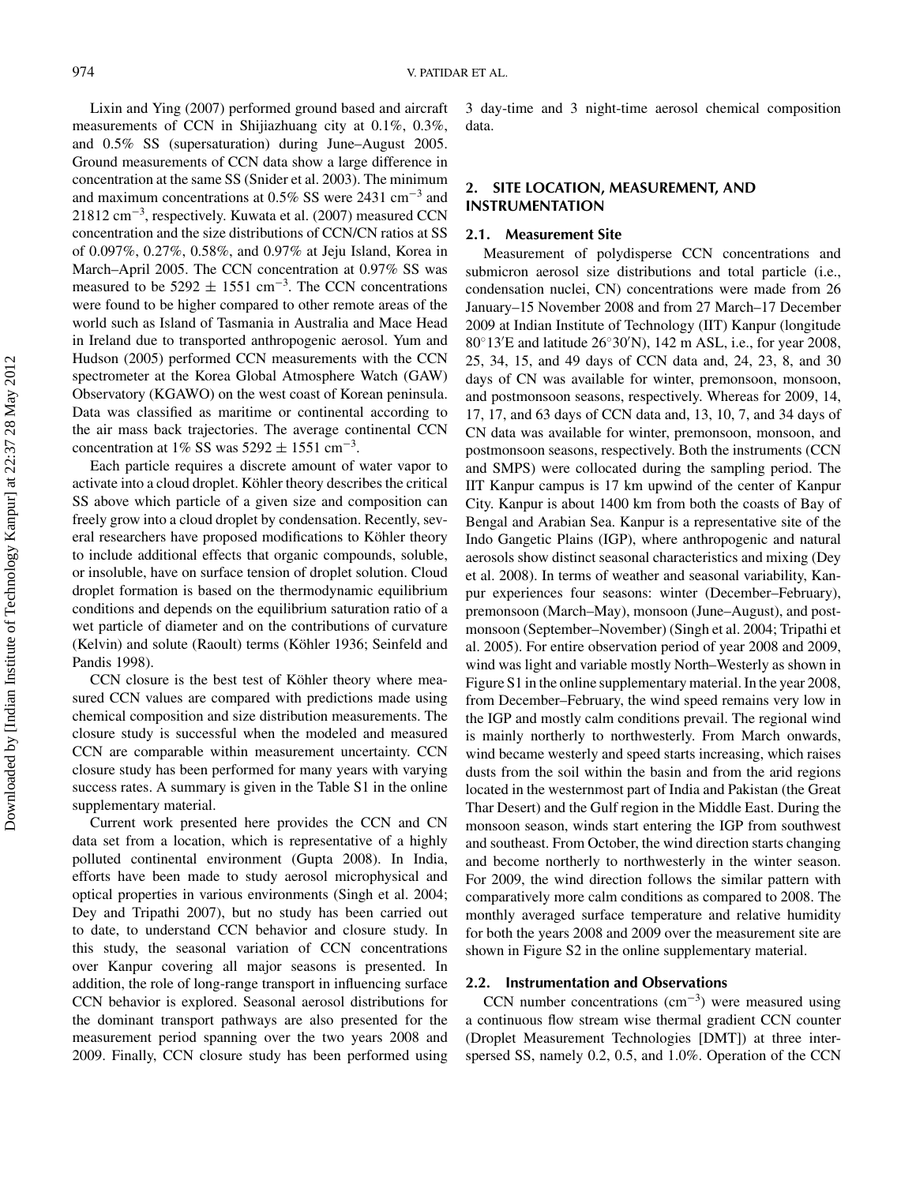Lixin and Ying (2007) performed ground based and aircraft measurements of CCN in Shijiazhuang city at 0.1%, 0.3%, and 0.5% SS (supersaturation) during June–August 2005. Ground measurements of CCN data show a large difference in concentration at the same SS (Snider et al. 2003). The minimum and maximum concentrations at 0.5% SS were 2431 cm−<sup>3</sup> and 21812 cm<sup>-3</sup>, respectively. Kuwata et al. (2007) measured CCN concentration and the size distributions of CCN/CN ratios at SS of 0.097%, 0.27%, 0.58%, and 0.97% at Jeju Island, Korea in March–April 2005. The CCN concentration at 0.97% SS was measured to be  $5292 \pm 1551$  cm<sup>-3</sup>. The CCN concentrations were found to be higher compared to other remote areas of the world such as Island of Tasmania in Australia and Mace Head in Ireland due to transported anthropogenic aerosol. Yum and Hudson (2005) performed CCN measurements with the CCN spectrometer at the Korea Global Atmosphere Watch (GAW) Observatory (KGAWO) on the west coast of Korean peninsula. Data was classified as maritime or continental according to the air mass back trajectories. The average continental CCN concentration at 1% SS was  $5292 \pm 1551$  cm<sup>-3</sup>.

Each particle requires a discrete amount of water vapor to activate into a cloud droplet. Köhler theory describes the critical SS above which particle of a given size and composition can freely grow into a cloud droplet by condensation. Recently, several researchers have proposed modifications to Köhler theory to include additional effects that organic compounds, soluble, or insoluble, have on surface tension of droplet solution. Cloud droplet formation is based on the thermodynamic equilibrium conditions and depends on the equilibrium saturation ratio of a wet particle of diameter and on the contributions of curvature (Kelvin) and solute (Raoult) terms (Köhler 1936; Seinfeld and Pandis 1998).

CCN closure is the best test of Köhler theory where measured CCN values are compared with predictions made using chemical composition and size distribution measurements. The closure study is successful when the modeled and measured CCN are comparable within measurement uncertainty. CCN closure study has been performed for many years with varying success rates. A summary is given in the Table S1 in the online supplementary material.

Current work presented here provides the CCN and CN data set from a location, which is representative of a highly polluted continental environment (Gupta 2008). In India, efforts have been made to study aerosol microphysical and optical properties in various environments (Singh et al. 2004; Dey and Tripathi 2007), but no study has been carried out to date, to understand CCN behavior and closure study. In this study, the seasonal variation of CCN concentrations over Kanpur covering all major seasons is presented. In addition, the role of long-range transport in influencing surface CCN behavior is explored. Seasonal aerosol distributions for the dominant transport pathways are also presented for the measurement period spanning over the two years 2008 and 2009. Finally, CCN closure study has been performed using 3 day-time and 3 night-time aerosol chemical composition data.

# **2. SITE LOCATION, MEASUREMENT, AND INSTRUMENTATION**

#### **2.1. Measurement Site**

Measurement of polydisperse CCN concentrations and submicron aerosol size distributions and total particle (i.e., condensation nuclei, CN) concentrations were made from 26 January–15 November 2008 and from 27 March–17 December 2009 at Indian Institute of Technology (IIT) Kanpur (longitude 80◦13 E and latitude 26◦30 N), 142 m ASL, i.e., for year 2008, 25, 34, 15, and 49 days of CCN data and, 24, 23, 8, and 30 days of CN was available for winter, premonsoon, monsoon, and postmonsoon seasons, respectively. Whereas for 2009, 14, 17, 17, and 63 days of CCN data and, 13, 10, 7, and 34 days of CN data was available for winter, premonsoon, monsoon, and postmonsoon seasons, respectively. Both the instruments (CCN and SMPS) were collocated during the sampling period. The IIT Kanpur campus is 17 km upwind of the center of Kanpur City. Kanpur is about 1400 km from both the coasts of Bay of Bengal and Arabian Sea. Kanpur is a representative site of the Indo Gangetic Plains (IGP), where anthropogenic and natural aerosols show distinct seasonal characteristics and mixing (Dey et al. 2008). In terms of weather and seasonal variability, Kanpur experiences four seasons: winter (December–February), premonsoon (March–May), monsoon (June–August), and postmonsoon (September–November) (Singh et al. 2004; Tripathi et al. 2005). For entire observation period of year 2008 and 2009, wind was light and variable mostly North–Westerly as shown in Figure S1 in the online supplementary material. In the year 2008, from December–February, the wind speed remains very low in the IGP and mostly calm conditions prevail. The regional wind is mainly northerly to northwesterly. From March onwards, wind became westerly and speed starts increasing, which raises dusts from the soil within the basin and from the arid regions located in the westernmost part of India and Pakistan (the Great Thar Desert) and the Gulf region in the Middle East. During the monsoon season, winds start entering the IGP from southwest and southeast. From October, the wind direction starts changing and become northerly to northwesterly in the winter season. For 2009, the wind direction follows the similar pattern with comparatively more calm conditions as compared to 2008. The monthly averaged surface temperature and relative humidity for both the years 2008 and 2009 over the measurement site are shown in Figure S2 in the online supplementary material.

# **2.2. Instrumentation and Observations**

CCN number concentrations  $\text{ (cm}^{-3}\text{)}$  were measured using a continuous flow stream wise thermal gradient CCN counter (Droplet Measurement Technologies [DMT]) at three interspersed SS, namely 0.2, 0.5, and 1.0%. Operation of the CCN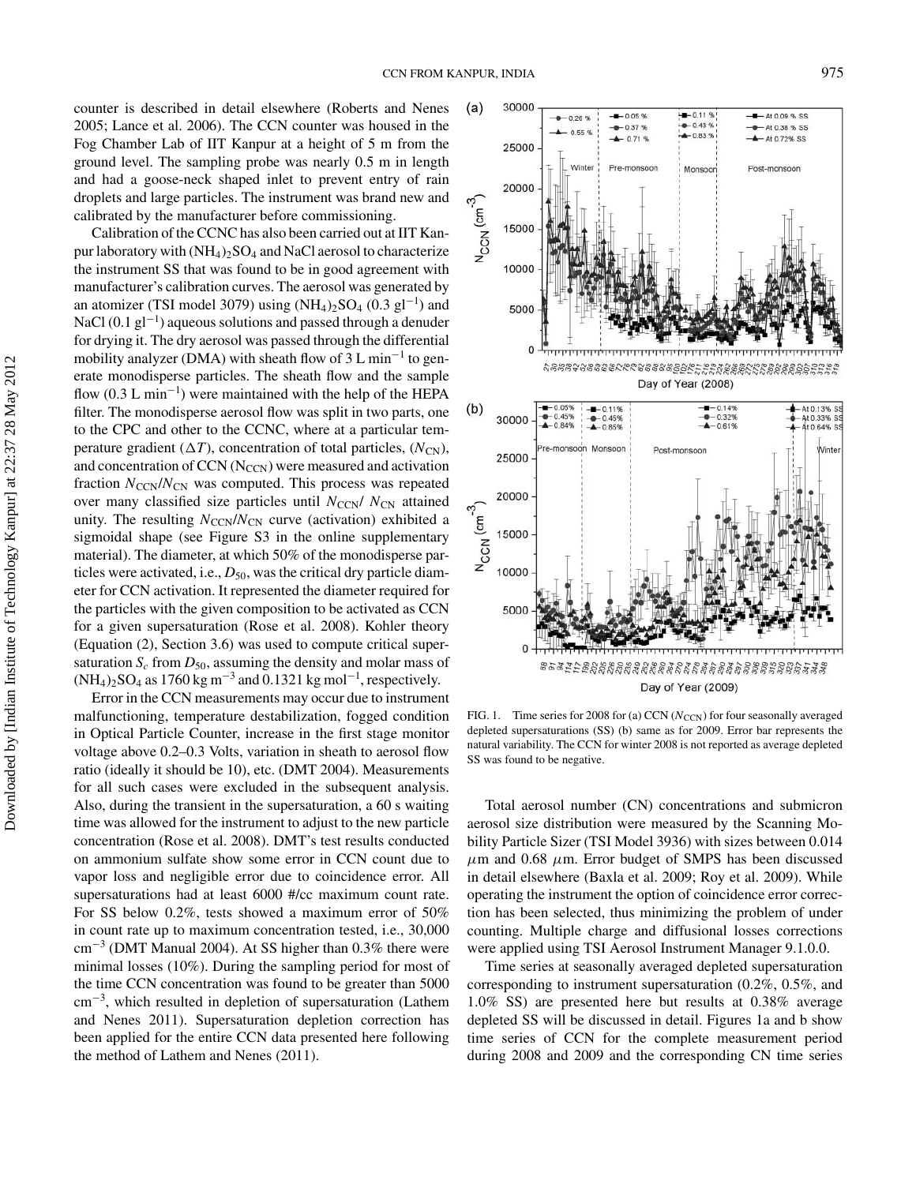counter is described in detail elsewhere (Roberts and Nenes 2005; Lance et al. 2006). The CCN counter was housed in the Fog Chamber Lab of IIT Kanpur at a height of 5 m from the ground level. The sampling probe was nearly 0.5 m in length and had a goose-neck shaped inlet to prevent entry of rain droplets and large particles. The instrument was brand new and calibrated by the manufacturer before commissioning.

Calibration of the CCNC has also been carried out at IIT Kanpur laboratory with  $(NH_4)_2SO_4$  and NaCl aerosol to characterize the instrument SS that was found to be in good agreement with manufacturer's calibration curves. The aerosol was generated by an atomizer (TSI model 3079) using  $(NH_4)_2SO_4$  (0.3 gl<sup>-1</sup>) and NaCl (0.1 gl<sup>-1</sup>) aqueous solutions and passed through a denuder for drying it. The dry aerosol was passed through the differential mobility analyzer (DMA) with sheath flow of  $3 L \text{ min}^{-1}$  to generate monodisperse particles. The sheath flow and the sample flow  $(0.3 \text{ L min}^{-1})$  were maintained with the help of the HEPA filter. The monodisperse aerosol flow was split in two parts, one to the CPC and other to the CCNC, where at a particular temperature gradient  $(\Delta T)$ , concentration of total particles,  $(N_{CN})$ , and concentration of CCN  $(N_{CCN})$  were measured and activation fraction  $N_{\text{CCN}}/N_{\text{CN}}$  was computed. This process was repeated over many classified size particles until  $N_{\text{CCN}}/N_{\text{CN}}$  attained unity. The resulting  $N_{\text{CCN}}/N_{\text{CN}}$  curve (activation) exhibited a sigmoidal shape (see Figure S3 in the online supplementary material). The diameter, at which 50% of the monodisperse particles were activated, i.e.,  $D_{50}$ , was the critical dry particle diameter for CCN activation. It represented the diameter required for the particles with the given composition to be activated as CCN for a given supersaturation (Rose et al. 2008). Kohler theory (Equation (2), Section 3.6) was used to compute critical supersaturation  $S_c$  from  $D_{50}$ , assuming the density and molar mass of  $(NH_4)_2SO_4$  as 1760 kg m<sup>-3</sup> and 0.1321 kg mol<sup>-1</sup>, respectively.

Error in the CCN measurements may occur due to instrument malfunctioning, temperature destabilization, fogged condition in Optical Particle Counter, increase in the first stage monitor voltage above 0.2–0.3 Volts, variation in sheath to aerosol flow ratio (ideally it should be 10), etc. (DMT 2004). Measurements for all such cases were excluded in the subsequent analysis. Also, during the transient in the supersaturation, a 60 s waiting time was allowed for the instrument to adjust to the new particle concentration (Rose et al. 2008). DMT's test results conducted on ammonium sulfate show some error in CCN count due to vapor loss and negligible error due to coincidence error. All supersaturations had at least 6000 #/cc maximum count rate. For SS below 0.2%, tests showed a maximum error of 50% in count rate up to maximum concentration tested, i.e., 30,000  $\text{cm}^{-3}$  (DMT Manual 2004). At SS higher than 0.3% there were minimal losses (10%). During the sampling period for most of the time CCN concentration was found to be greater than 5000 cm−<sup>3</sup> , which resulted in depletion of supersaturation (Lathem and Nenes 2011). Supersaturation depletion correction has been applied for the entire CCN data presented here following the method of Lathem and Nenes (2011).



FIG. 1. Time series for 2008 for (a) CCN ( $N_{\text{CCN}}$ ) for four seasonally averaged depleted supersaturations (SS) (b) same as for 2009. Error bar represents the natural variability. The CCN for winter 2008 is not reported as average depleted SS was found to be negative.

Total aerosol number (CN) concentrations and submicron aerosol size distribution were measured by the Scanning Mobility Particle Sizer (TSI Model 3936) with sizes between 0.014  $\mu$ m and 0.68  $\mu$ m. Error budget of SMPS has been discussed in detail elsewhere (Baxla et al. 2009; Roy et al. 2009). While operating the instrument the option of coincidence error correction has been selected, thus minimizing the problem of under counting. Multiple charge and diffusional losses corrections were applied using TSI Aerosol Instrument Manager 9.1.0.0.

Time series at seasonally averaged depleted supersaturation corresponding to instrument supersaturation (0.2%, 0.5%, and 1.0% SS) are presented here but results at 0.38% average depleted SS will be discussed in detail. Figures 1a and b show time series of CCN for the complete measurement period during 2008 and 2009 and the corresponding CN time series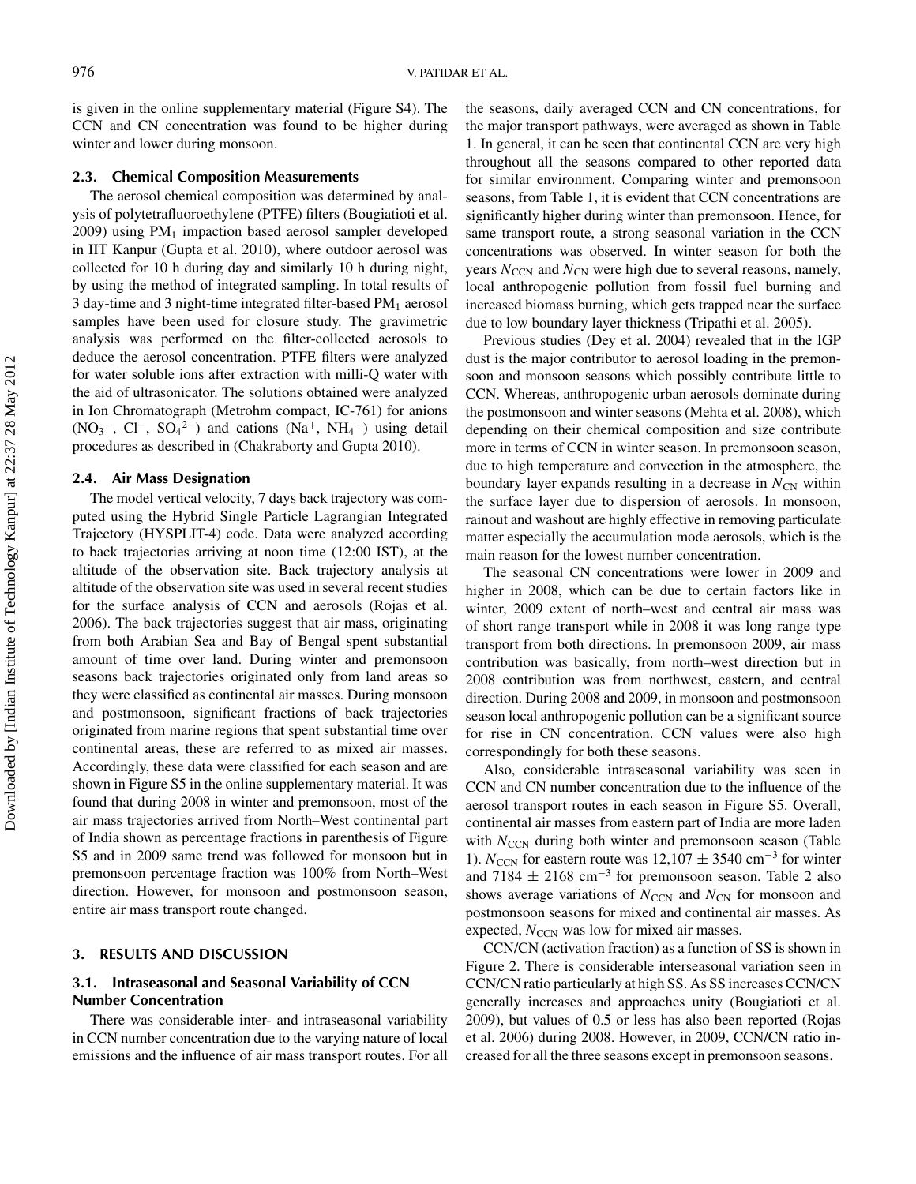is given in the online supplementary material (Figure S4). The CCN and CN concentration was found to be higher during winter and lower during monsoon.

#### **2.3. Chemical Composition Measurements**

The aerosol chemical composition was determined by analysis of polytetrafluoroethylene (PTFE) filters (Bougiatioti et al.  $2009$ ) using PM<sub>1</sub> impaction based aerosol sampler developed in IIT Kanpur (Gupta et al. 2010), where outdoor aerosol was collected for 10 h during day and similarly 10 h during night, by using the method of integrated sampling. In total results of 3 day-time and 3 night-time integrated filter-based  $PM<sub>1</sub>$  aerosol samples have been used for closure study. The gravimetric analysis was performed on the filter-collected aerosols to deduce the aerosol concentration. PTFE filters were analyzed for water soluble ions after extraction with milli-Q water with the aid of ultrasonicator. The solutions obtained were analyzed in Ion Chromatograph (Metrohm compact, IC-761) for anions  $(NO<sub>3</sub><sup>-</sup>, Cl<sup>-</sup>, SO<sub>4</sub><sup>2-</sup>)$  and cations  $(Na<sup>+</sup>, NH<sub>4</sub><sup>+</sup>)$  using detail procedures as described in (Chakraborty and Gupta 2010).

#### **2.4. Air Mass Designation**

The model vertical velocity, 7 days back trajectory was computed using the Hybrid Single Particle Lagrangian Integrated Trajectory (HYSPLIT-4) code. Data were analyzed according to back trajectories arriving at noon time (12:00 IST), at the altitude of the observation site. Back trajectory analysis at altitude of the observation site was used in several recent studies for the surface analysis of CCN and aerosols (Rojas et al. 2006). The back trajectories suggest that air mass, originating from both Arabian Sea and Bay of Bengal spent substantial amount of time over land. During winter and premonsoon seasons back trajectories originated only from land areas so they were classified as continental air masses. During monsoon and postmonsoon, significant fractions of back trajectories originated from marine regions that spent substantial time over continental areas, these are referred to as mixed air masses. Accordingly, these data were classified for each season and are shown in Figure S5 in the online supplementary material. It was found that during 2008 in winter and premonsoon, most of the air mass trajectories arrived from North–West continental part of India shown as percentage fractions in parenthesis of Figure S5 and in 2009 same trend was followed for monsoon but in premonsoon percentage fraction was 100% from North–West direction. However, for monsoon and postmonsoon season, entire air mass transport route changed.

# **3. RESULTS AND DISCUSSION**

# **3.1. Intraseasonal and Seasonal Variability of CCN Number Concentration**

There was considerable inter- and intraseasonal variability in CCN number concentration due to the varying nature of local emissions and the influence of air mass transport routes. For all

the seasons, daily averaged CCN and CN concentrations, for the major transport pathways, were averaged as shown in Table 1. In general, it can be seen that continental CCN are very high throughout all the seasons compared to other reported data for similar environment. Comparing winter and premonsoon seasons, from Table 1, it is evident that CCN concentrations are significantly higher during winter than premonsoon. Hence, for same transport route, a strong seasonal variation in the CCN concentrations was observed. In winter season for both the years  $N_{\text{CCN}}$  and  $N_{\text{CN}}$  were high due to several reasons, namely, local anthropogenic pollution from fossil fuel burning and increased biomass burning, which gets trapped near the surface due to low boundary layer thickness (Tripathi et al. 2005).

Previous studies (Dey et al. 2004) revealed that in the IGP dust is the major contributor to aerosol loading in the premonsoon and monsoon seasons which possibly contribute little to CCN. Whereas, anthropogenic urban aerosols dominate during the postmonsoon and winter seasons (Mehta et al. 2008), which depending on their chemical composition and size contribute more in terms of CCN in winter season. In premonsoon season, due to high temperature and convection in the atmosphere, the boundary layer expands resulting in a decrease in  $N_{CN}$  within the surface layer due to dispersion of aerosols. In monsoon, rainout and washout are highly effective in removing particulate matter especially the accumulation mode aerosols, which is the main reason for the lowest number concentration.

The seasonal CN concentrations were lower in 2009 and higher in 2008, which can be due to certain factors like in winter, 2009 extent of north–west and central air mass was of short range transport while in 2008 it was long range type transport from both directions. In premonsoon 2009, air mass contribution was basically, from north–west direction but in 2008 contribution was from northwest, eastern, and central direction. During 2008 and 2009, in monsoon and postmonsoon season local anthropogenic pollution can be a significant source for rise in CN concentration. CCN values were also high correspondingly for both these seasons.

Also, considerable intraseasonal variability was seen in CCN and CN number concentration due to the influence of the aerosol transport routes in each season in Figure S5. Overall, continental air masses from eastern part of India are more laden with *N*<sub>CCN</sub> during both winter and premonsoon season (Table 1).  $N_{\text{CCN}}$  for eastern route was 12,107  $\pm$  3540 cm<sup>-3</sup> for winter and 7184  $\pm$  2168 cm<sup>-3</sup> for premonsoon season. Table 2 also shows average variations of  $N_{\text{CCN}}$  and  $N_{\text{CN}}$  for monsoon and postmonsoon seasons for mixed and continental air masses. As expected,  $N_{\text{CCN}}$  was low for mixed air masses.

CCN/CN (activation fraction) as a function of SS is shown in Figure 2. There is considerable interseasonal variation seen in CCN/CN ratio particularly at high SS. As SS increases CCN/CN generally increases and approaches unity (Bougiatioti et al. 2009), but values of 0.5 or less has also been reported (Rojas et al. 2006) during 2008. However, in 2009, CCN/CN ratio increased for all the three seasons except in premonsoon seasons.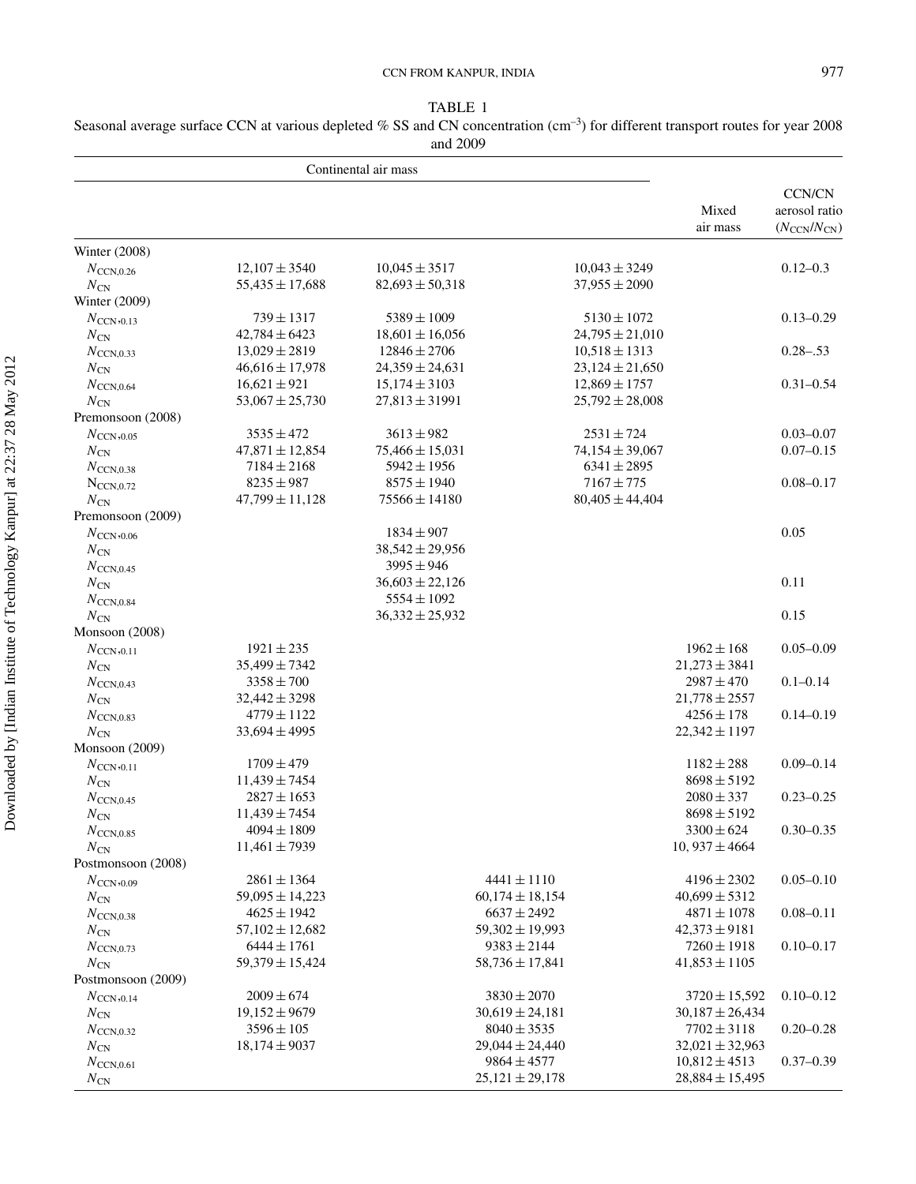# CCN FROM KANPUR, INDIA 977

TABLE 1

Seasonal average surface CCN at various depleted % SS and CN concentration (cm<sup>-3</sup>) for different transport routes for year 2008 and 2009

| Mixed<br>air mass<br>Winter (2008)<br>$12,107 \pm 3540$<br>$10,045 \pm 3517$<br>$10,043 \pm 3249$<br>$0.12 - 0.3$<br>$N_{\text{CCN.0.26}}$<br>$N_{\rm CN}$<br>$55,435 \pm 17,688$<br>$82,693 \pm 50,318$<br>$37,955 \pm 2090$<br>Winter $(2009)$<br>$739 \pm 1317$<br>$5389 \pm 1009$<br>$5130 \pm 1072$<br>$N_{\text{CCN}}$ ,0.13<br>$N_{\rm CN}$<br>$42.784 \pm 6423$<br>$18,601 \pm 16,056$<br>$24,795 \pm 21,010$<br>$0.28 - 0.53$<br>$13,029 \pm 2819$<br>$12846 \pm 2706$<br>$10,518 \pm 1313$<br>$N_{\text{CCN.0.33}}$<br>$46,616 \pm 17,978$<br>$24,359 \pm 24,631$<br>$23,124 \pm 21,650$<br>$N_{\rm CN}$<br>$16,621 \pm 921$<br>$15,174 \pm 3103$<br>$12,869 \pm 1757$<br>$N_{\text{CCN},0.64}$<br>$53,067 \pm 25,730$<br>$27,813 \pm 31991$<br>$25,792 \pm 28,008$<br>$N_{\rm CN}$<br>Premonsoon (2008)<br>$3535 \pm 472$<br>$3613 \pm 982$<br>$2531 \pm 724$<br>$N_{\text{CCN}},_{0.05}$<br>$47,871 \pm 12,854$<br>$75,466 \pm 15,031$<br>$74,154 \pm 39,067$<br>$N_{\rm CN}$<br>$7184 \pm 2168$<br>$5942 \pm 1956$<br>$6341 \pm 2895$<br>$N_{\text{CCN},0.38}$<br>$8235 \pm 987$<br>$8575 \pm 1940$<br>$7167 \pm 775$<br>$N_{\text{CCN.0.72}}$<br>$75566 \pm 14180$<br>$80,405 \pm 44,404$<br>$47,799 \pm 11,128$<br>$N_{\rm CN}$<br>Premonsoon (2009)<br>0.05<br>$1834 \pm 907$<br>$N_{\rm CCN,0.06}$<br>$38,542 \pm 29,956$<br>$N_{\rm CN}$<br>$3995 \pm 946$<br>$N_{\text{CCN},0.45}$<br>0.11<br>$36,603 \pm 22,126$<br>$N_{\rm CN}$<br>$5554 \pm 1092$<br>$N_{\text{CCN},0.84}$<br>0.15<br>$36,332 \pm 25,932$<br>$N_{\rm CN}$<br>Monsoon (2008)<br>$1921 \pm 235$<br>$1962 \pm 168$<br>$N_{\text{CCN}}$ ,0.11<br>$35,499 \pm 7342$<br>$21,273 \pm 3841$<br>$N_{\rm CN}$<br>$3358 \pm 700$<br>$2987 \pm 470$<br>$0.1 - 0.14$<br>$N_{\text{CCN},0.43}$<br>$32,442 \pm 3298$<br>$21,778 \pm 2557$<br>$N_{\rm CN}$<br>$4256 \pm 178$<br>$4779 \pm 1122$<br>$N_{\text{CCN},0.83}$<br>$33,694 \pm 4995$<br>$22,342 \pm 1197$<br>$N_{\rm CN}$<br>Monsoon (2009)<br>$1709 \pm 479$<br>$1182 \pm 288$<br>$N_{\text{CCN}}$ ,0.11<br>$11,439 \pm 7454$<br>$8698 \pm 5192$<br>$N_{\rm CN}$<br>$2080 \pm 337$<br>$N_{\text{CCN},0.45}$<br>$2827 \pm 1653$<br>$11.439 \pm 7454$<br>$8698 \pm 5192$<br>$N_{\rm CN}$<br>$3300 \pm 624$<br>$4094 \pm 1809$<br>$N_{\text{CCN},0.85}$<br>10, $937 \pm 4664$<br>$11,461 \pm 7939$<br>$N_{\rm CN}$<br>Postmonsoon (2008)<br>$2861 \pm 1364$<br>$4441 \pm 1110$<br>$4196 \pm 2302$<br>$N_{\text{CCN}},_{0.09}$<br>$60,174 \pm 18,154$<br>$40,699 \pm 5312$<br>$59,095 \pm 14,223$<br>$N_{\rm CN}$<br>$4625 \pm 1942$<br>$6637 \pm 2492$<br>$4871 \pm 1078$<br>$0.08 - 0.11$<br>$N_{\text{CCN},0.38}$<br>$57,102 \pm 12,682$<br>$59,302 \pm 19,993$<br>$42,373 \pm 9181$<br>$N_{\rm CN}$<br>$6444 \pm 1761$<br>$9383 \pm 2144$<br>$7260 \pm 1918$<br>$0.10 - 0.17$<br>$N_{\text{CCN},0.73}$<br>$59,379 \pm 15,424$<br>$58,736 \pm 17,841$<br>$41,853 \pm 1105$<br>$N_{\rm CN}$<br>Postmonsoon (2009)<br>$2009 \pm 674$<br>$3830 \pm 2070$<br>$0.10 - 0.12$<br>$3720 \pm 15,592$<br>$N_{\text{CCN}},_{0.14}$<br>$19,152 \pm 9679$<br>$30,619 \pm 24,181$<br>$30,187 \pm 26,434$<br>$N_{\rm CN}$<br>$3596 \pm 105$<br>$8040 \pm 3535$<br>$7702 \pm 3118$<br>$0.20 - 0.28$<br>$N_{\text{CCN},0.32}$<br>$18,174 \pm 9037$<br>$29,044 \pm 24,440$<br>$32,021 \pm 32,963$<br>$N_{\rm CN}$<br>$9864 \pm 4577$<br>$10,812 \pm 4513$<br>$0.37 - 0.39$<br>$N_{\text{CCN},0.61}$ |              | Continental air mass |                     |  |                     |                                                                    |
|------------------------------------------------------------------------------------------------------------------------------------------------------------------------------------------------------------------------------------------------------------------------------------------------------------------------------------------------------------------------------------------------------------------------------------------------------------------------------------------------------------------------------------------------------------------------------------------------------------------------------------------------------------------------------------------------------------------------------------------------------------------------------------------------------------------------------------------------------------------------------------------------------------------------------------------------------------------------------------------------------------------------------------------------------------------------------------------------------------------------------------------------------------------------------------------------------------------------------------------------------------------------------------------------------------------------------------------------------------------------------------------------------------------------------------------------------------------------------------------------------------------------------------------------------------------------------------------------------------------------------------------------------------------------------------------------------------------------------------------------------------------------------------------------------------------------------------------------------------------------------------------------------------------------------------------------------------------------------------------------------------------------------------------------------------------------------------------------------------------------------------------------------------------------------------------------------------------------------------------------------------------------------------------------------------------------------------------------------------------------------------------------------------------------------------------------------------------------------------------------------------------------------------------------------------------------------------------------------------------------------------------------------------------------------------------------------------------------------------------------------------------------------------------------------------------------------------------------------------------------------------------------------------------------------------------------------------------------------------------------------------------------------------------------------------------------------------------------------------------------------------------------------------------------------------------------------------------------------------------------------------------------------------------------------------------------------------------------------------------------------------------------------------------|--------------|----------------------|---------------------|--|---------------------|--------------------------------------------------------------------|
|                                                                                                                                                                                                                                                                                                                                                                                                                                                                                                                                                                                                                                                                                                                                                                                                                                                                                                                                                                                                                                                                                                                                                                                                                                                                                                                                                                                                                                                                                                                                                                                                                                                                                                                                                                                                                                                                                                                                                                                                                                                                                                                                                                                                                                                                                                                                                                                                                                                                                                                                                                                                                                                                                                                                                                                                                                                                                                                                                                                                                                                                                                                                                                                                                                                                                                                                                                                                                  |              |                      |                     |  |                     | <b>CCN/CN</b><br>aerosol ratio<br>$(N_{\text{CCN}}/N_{\text{CN}})$ |
|                                                                                                                                                                                                                                                                                                                                                                                                                                                                                                                                                                                                                                                                                                                                                                                                                                                                                                                                                                                                                                                                                                                                                                                                                                                                                                                                                                                                                                                                                                                                                                                                                                                                                                                                                                                                                                                                                                                                                                                                                                                                                                                                                                                                                                                                                                                                                                                                                                                                                                                                                                                                                                                                                                                                                                                                                                                                                                                                                                                                                                                                                                                                                                                                                                                                                                                                                                                                                  |              |                      |                     |  |                     |                                                                    |
|                                                                                                                                                                                                                                                                                                                                                                                                                                                                                                                                                                                                                                                                                                                                                                                                                                                                                                                                                                                                                                                                                                                                                                                                                                                                                                                                                                                                                                                                                                                                                                                                                                                                                                                                                                                                                                                                                                                                                                                                                                                                                                                                                                                                                                                                                                                                                                                                                                                                                                                                                                                                                                                                                                                                                                                                                                                                                                                                                                                                                                                                                                                                                                                                                                                                                                                                                                                                                  |              |                      |                     |  |                     |                                                                    |
|                                                                                                                                                                                                                                                                                                                                                                                                                                                                                                                                                                                                                                                                                                                                                                                                                                                                                                                                                                                                                                                                                                                                                                                                                                                                                                                                                                                                                                                                                                                                                                                                                                                                                                                                                                                                                                                                                                                                                                                                                                                                                                                                                                                                                                                                                                                                                                                                                                                                                                                                                                                                                                                                                                                                                                                                                                                                                                                                                                                                                                                                                                                                                                                                                                                                                                                                                                                                                  |              |                      |                     |  |                     |                                                                    |
|                                                                                                                                                                                                                                                                                                                                                                                                                                                                                                                                                                                                                                                                                                                                                                                                                                                                                                                                                                                                                                                                                                                                                                                                                                                                                                                                                                                                                                                                                                                                                                                                                                                                                                                                                                                                                                                                                                                                                                                                                                                                                                                                                                                                                                                                                                                                                                                                                                                                                                                                                                                                                                                                                                                                                                                                                                                                                                                                                                                                                                                                                                                                                                                                                                                                                                                                                                                                                  |              |                      |                     |  |                     |                                                                    |
|                                                                                                                                                                                                                                                                                                                                                                                                                                                                                                                                                                                                                                                                                                                                                                                                                                                                                                                                                                                                                                                                                                                                                                                                                                                                                                                                                                                                                                                                                                                                                                                                                                                                                                                                                                                                                                                                                                                                                                                                                                                                                                                                                                                                                                                                                                                                                                                                                                                                                                                                                                                                                                                                                                                                                                                                                                                                                                                                                                                                                                                                                                                                                                                                                                                                                                                                                                                                                  |              |                      |                     |  |                     | $0.13 - 0.29$                                                      |
|                                                                                                                                                                                                                                                                                                                                                                                                                                                                                                                                                                                                                                                                                                                                                                                                                                                                                                                                                                                                                                                                                                                                                                                                                                                                                                                                                                                                                                                                                                                                                                                                                                                                                                                                                                                                                                                                                                                                                                                                                                                                                                                                                                                                                                                                                                                                                                                                                                                                                                                                                                                                                                                                                                                                                                                                                                                                                                                                                                                                                                                                                                                                                                                                                                                                                                                                                                                                                  |              |                      |                     |  |                     |                                                                    |
|                                                                                                                                                                                                                                                                                                                                                                                                                                                                                                                                                                                                                                                                                                                                                                                                                                                                                                                                                                                                                                                                                                                                                                                                                                                                                                                                                                                                                                                                                                                                                                                                                                                                                                                                                                                                                                                                                                                                                                                                                                                                                                                                                                                                                                                                                                                                                                                                                                                                                                                                                                                                                                                                                                                                                                                                                                                                                                                                                                                                                                                                                                                                                                                                                                                                                                                                                                                                                  |              |                      |                     |  |                     |                                                                    |
|                                                                                                                                                                                                                                                                                                                                                                                                                                                                                                                                                                                                                                                                                                                                                                                                                                                                                                                                                                                                                                                                                                                                                                                                                                                                                                                                                                                                                                                                                                                                                                                                                                                                                                                                                                                                                                                                                                                                                                                                                                                                                                                                                                                                                                                                                                                                                                                                                                                                                                                                                                                                                                                                                                                                                                                                                                                                                                                                                                                                                                                                                                                                                                                                                                                                                                                                                                                                                  |              |                      |                     |  |                     |                                                                    |
|                                                                                                                                                                                                                                                                                                                                                                                                                                                                                                                                                                                                                                                                                                                                                                                                                                                                                                                                                                                                                                                                                                                                                                                                                                                                                                                                                                                                                                                                                                                                                                                                                                                                                                                                                                                                                                                                                                                                                                                                                                                                                                                                                                                                                                                                                                                                                                                                                                                                                                                                                                                                                                                                                                                                                                                                                                                                                                                                                                                                                                                                                                                                                                                                                                                                                                                                                                                                                  |              |                      |                     |  |                     | $0.31 - 0.54$                                                      |
|                                                                                                                                                                                                                                                                                                                                                                                                                                                                                                                                                                                                                                                                                                                                                                                                                                                                                                                                                                                                                                                                                                                                                                                                                                                                                                                                                                                                                                                                                                                                                                                                                                                                                                                                                                                                                                                                                                                                                                                                                                                                                                                                                                                                                                                                                                                                                                                                                                                                                                                                                                                                                                                                                                                                                                                                                                                                                                                                                                                                                                                                                                                                                                                                                                                                                                                                                                                                                  |              |                      |                     |  |                     |                                                                    |
|                                                                                                                                                                                                                                                                                                                                                                                                                                                                                                                                                                                                                                                                                                                                                                                                                                                                                                                                                                                                                                                                                                                                                                                                                                                                                                                                                                                                                                                                                                                                                                                                                                                                                                                                                                                                                                                                                                                                                                                                                                                                                                                                                                                                                                                                                                                                                                                                                                                                                                                                                                                                                                                                                                                                                                                                                                                                                                                                                                                                                                                                                                                                                                                                                                                                                                                                                                                                                  |              |                      |                     |  |                     |                                                                    |
|                                                                                                                                                                                                                                                                                                                                                                                                                                                                                                                                                                                                                                                                                                                                                                                                                                                                                                                                                                                                                                                                                                                                                                                                                                                                                                                                                                                                                                                                                                                                                                                                                                                                                                                                                                                                                                                                                                                                                                                                                                                                                                                                                                                                                                                                                                                                                                                                                                                                                                                                                                                                                                                                                                                                                                                                                                                                                                                                                                                                                                                                                                                                                                                                                                                                                                                                                                                                                  |              |                      |                     |  |                     | $0.03 - 0.07$                                                      |
|                                                                                                                                                                                                                                                                                                                                                                                                                                                                                                                                                                                                                                                                                                                                                                                                                                                                                                                                                                                                                                                                                                                                                                                                                                                                                                                                                                                                                                                                                                                                                                                                                                                                                                                                                                                                                                                                                                                                                                                                                                                                                                                                                                                                                                                                                                                                                                                                                                                                                                                                                                                                                                                                                                                                                                                                                                                                                                                                                                                                                                                                                                                                                                                                                                                                                                                                                                                                                  |              |                      |                     |  |                     | $0.07 - 0.15$                                                      |
|                                                                                                                                                                                                                                                                                                                                                                                                                                                                                                                                                                                                                                                                                                                                                                                                                                                                                                                                                                                                                                                                                                                                                                                                                                                                                                                                                                                                                                                                                                                                                                                                                                                                                                                                                                                                                                                                                                                                                                                                                                                                                                                                                                                                                                                                                                                                                                                                                                                                                                                                                                                                                                                                                                                                                                                                                                                                                                                                                                                                                                                                                                                                                                                                                                                                                                                                                                                                                  |              |                      |                     |  |                     |                                                                    |
|                                                                                                                                                                                                                                                                                                                                                                                                                                                                                                                                                                                                                                                                                                                                                                                                                                                                                                                                                                                                                                                                                                                                                                                                                                                                                                                                                                                                                                                                                                                                                                                                                                                                                                                                                                                                                                                                                                                                                                                                                                                                                                                                                                                                                                                                                                                                                                                                                                                                                                                                                                                                                                                                                                                                                                                                                                                                                                                                                                                                                                                                                                                                                                                                                                                                                                                                                                                                                  |              |                      |                     |  |                     | $0.08 - 0.17$                                                      |
|                                                                                                                                                                                                                                                                                                                                                                                                                                                                                                                                                                                                                                                                                                                                                                                                                                                                                                                                                                                                                                                                                                                                                                                                                                                                                                                                                                                                                                                                                                                                                                                                                                                                                                                                                                                                                                                                                                                                                                                                                                                                                                                                                                                                                                                                                                                                                                                                                                                                                                                                                                                                                                                                                                                                                                                                                                                                                                                                                                                                                                                                                                                                                                                                                                                                                                                                                                                                                  |              |                      |                     |  |                     |                                                                    |
|                                                                                                                                                                                                                                                                                                                                                                                                                                                                                                                                                                                                                                                                                                                                                                                                                                                                                                                                                                                                                                                                                                                                                                                                                                                                                                                                                                                                                                                                                                                                                                                                                                                                                                                                                                                                                                                                                                                                                                                                                                                                                                                                                                                                                                                                                                                                                                                                                                                                                                                                                                                                                                                                                                                                                                                                                                                                                                                                                                                                                                                                                                                                                                                                                                                                                                                                                                                                                  |              |                      |                     |  |                     |                                                                    |
|                                                                                                                                                                                                                                                                                                                                                                                                                                                                                                                                                                                                                                                                                                                                                                                                                                                                                                                                                                                                                                                                                                                                                                                                                                                                                                                                                                                                                                                                                                                                                                                                                                                                                                                                                                                                                                                                                                                                                                                                                                                                                                                                                                                                                                                                                                                                                                                                                                                                                                                                                                                                                                                                                                                                                                                                                                                                                                                                                                                                                                                                                                                                                                                                                                                                                                                                                                                                                  |              |                      |                     |  |                     |                                                                    |
|                                                                                                                                                                                                                                                                                                                                                                                                                                                                                                                                                                                                                                                                                                                                                                                                                                                                                                                                                                                                                                                                                                                                                                                                                                                                                                                                                                                                                                                                                                                                                                                                                                                                                                                                                                                                                                                                                                                                                                                                                                                                                                                                                                                                                                                                                                                                                                                                                                                                                                                                                                                                                                                                                                                                                                                                                                                                                                                                                                                                                                                                                                                                                                                                                                                                                                                                                                                                                  |              |                      |                     |  |                     |                                                                    |
|                                                                                                                                                                                                                                                                                                                                                                                                                                                                                                                                                                                                                                                                                                                                                                                                                                                                                                                                                                                                                                                                                                                                                                                                                                                                                                                                                                                                                                                                                                                                                                                                                                                                                                                                                                                                                                                                                                                                                                                                                                                                                                                                                                                                                                                                                                                                                                                                                                                                                                                                                                                                                                                                                                                                                                                                                                                                                                                                                                                                                                                                                                                                                                                                                                                                                                                                                                                                                  |              |                      |                     |  |                     |                                                                    |
|                                                                                                                                                                                                                                                                                                                                                                                                                                                                                                                                                                                                                                                                                                                                                                                                                                                                                                                                                                                                                                                                                                                                                                                                                                                                                                                                                                                                                                                                                                                                                                                                                                                                                                                                                                                                                                                                                                                                                                                                                                                                                                                                                                                                                                                                                                                                                                                                                                                                                                                                                                                                                                                                                                                                                                                                                                                                                                                                                                                                                                                                                                                                                                                                                                                                                                                                                                                                                  |              |                      |                     |  |                     |                                                                    |
|                                                                                                                                                                                                                                                                                                                                                                                                                                                                                                                                                                                                                                                                                                                                                                                                                                                                                                                                                                                                                                                                                                                                                                                                                                                                                                                                                                                                                                                                                                                                                                                                                                                                                                                                                                                                                                                                                                                                                                                                                                                                                                                                                                                                                                                                                                                                                                                                                                                                                                                                                                                                                                                                                                                                                                                                                                                                                                                                                                                                                                                                                                                                                                                                                                                                                                                                                                                                                  |              |                      |                     |  |                     |                                                                    |
|                                                                                                                                                                                                                                                                                                                                                                                                                                                                                                                                                                                                                                                                                                                                                                                                                                                                                                                                                                                                                                                                                                                                                                                                                                                                                                                                                                                                                                                                                                                                                                                                                                                                                                                                                                                                                                                                                                                                                                                                                                                                                                                                                                                                                                                                                                                                                                                                                                                                                                                                                                                                                                                                                                                                                                                                                                                                                                                                                                                                                                                                                                                                                                                                                                                                                                                                                                                                                  |              |                      |                     |  |                     |                                                                    |
|                                                                                                                                                                                                                                                                                                                                                                                                                                                                                                                                                                                                                                                                                                                                                                                                                                                                                                                                                                                                                                                                                                                                                                                                                                                                                                                                                                                                                                                                                                                                                                                                                                                                                                                                                                                                                                                                                                                                                                                                                                                                                                                                                                                                                                                                                                                                                                                                                                                                                                                                                                                                                                                                                                                                                                                                                                                                                                                                                                                                                                                                                                                                                                                                                                                                                                                                                                                                                  |              |                      |                     |  |                     |                                                                    |
|                                                                                                                                                                                                                                                                                                                                                                                                                                                                                                                                                                                                                                                                                                                                                                                                                                                                                                                                                                                                                                                                                                                                                                                                                                                                                                                                                                                                                                                                                                                                                                                                                                                                                                                                                                                                                                                                                                                                                                                                                                                                                                                                                                                                                                                                                                                                                                                                                                                                                                                                                                                                                                                                                                                                                                                                                                                                                                                                                                                                                                                                                                                                                                                                                                                                                                                                                                                                                  |              |                      |                     |  |                     | $0.05 - 0.09$                                                      |
|                                                                                                                                                                                                                                                                                                                                                                                                                                                                                                                                                                                                                                                                                                                                                                                                                                                                                                                                                                                                                                                                                                                                                                                                                                                                                                                                                                                                                                                                                                                                                                                                                                                                                                                                                                                                                                                                                                                                                                                                                                                                                                                                                                                                                                                                                                                                                                                                                                                                                                                                                                                                                                                                                                                                                                                                                                                                                                                                                                                                                                                                                                                                                                                                                                                                                                                                                                                                                  |              |                      |                     |  |                     |                                                                    |
|                                                                                                                                                                                                                                                                                                                                                                                                                                                                                                                                                                                                                                                                                                                                                                                                                                                                                                                                                                                                                                                                                                                                                                                                                                                                                                                                                                                                                                                                                                                                                                                                                                                                                                                                                                                                                                                                                                                                                                                                                                                                                                                                                                                                                                                                                                                                                                                                                                                                                                                                                                                                                                                                                                                                                                                                                                                                                                                                                                                                                                                                                                                                                                                                                                                                                                                                                                                                                  |              |                      |                     |  |                     |                                                                    |
|                                                                                                                                                                                                                                                                                                                                                                                                                                                                                                                                                                                                                                                                                                                                                                                                                                                                                                                                                                                                                                                                                                                                                                                                                                                                                                                                                                                                                                                                                                                                                                                                                                                                                                                                                                                                                                                                                                                                                                                                                                                                                                                                                                                                                                                                                                                                                                                                                                                                                                                                                                                                                                                                                                                                                                                                                                                                                                                                                                                                                                                                                                                                                                                                                                                                                                                                                                                                                  |              |                      |                     |  |                     |                                                                    |
|                                                                                                                                                                                                                                                                                                                                                                                                                                                                                                                                                                                                                                                                                                                                                                                                                                                                                                                                                                                                                                                                                                                                                                                                                                                                                                                                                                                                                                                                                                                                                                                                                                                                                                                                                                                                                                                                                                                                                                                                                                                                                                                                                                                                                                                                                                                                                                                                                                                                                                                                                                                                                                                                                                                                                                                                                                                                                                                                                                                                                                                                                                                                                                                                                                                                                                                                                                                                                  |              |                      |                     |  |                     | $0.14 - 0.19$                                                      |
|                                                                                                                                                                                                                                                                                                                                                                                                                                                                                                                                                                                                                                                                                                                                                                                                                                                                                                                                                                                                                                                                                                                                                                                                                                                                                                                                                                                                                                                                                                                                                                                                                                                                                                                                                                                                                                                                                                                                                                                                                                                                                                                                                                                                                                                                                                                                                                                                                                                                                                                                                                                                                                                                                                                                                                                                                                                                                                                                                                                                                                                                                                                                                                                                                                                                                                                                                                                                                  |              |                      |                     |  |                     |                                                                    |
|                                                                                                                                                                                                                                                                                                                                                                                                                                                                                                                                                                                                                                                                                                                                                                                                                                                                                                                                                                                                                                                                                                                                                                                                                                                                                                                                                                                                                                                                                                                                                                                                                                                                                                                                                                                                                                                                                                                                                                                                                                                                                                                                                                                                                                                                                                                                                                                                                                                                                                                                                                                                                                                                                                                                                                                                                                                                                                                                                                                                                                                                                                                                                                                                                                                                                                                                                                                                                  |              |                      |                     |  |                     |                                                                    |
|                                                                                                                                                                                                                                                                                                                                                                                                                                                                                                                                                                                                                                                                                                                                                                                                                                                                                                                                                                                                                                                                                                                                                                                                                                                                                                                                                                                                                                                                                                                                                                                                                                                                                                                                                                                                                                                                                                                                                                                                                                                                                                                                                                                                                                                                                                                                                                                                                                                                                                                                                                                                                                                                                                                                                                                                                                                                                                                                                                                                                                                                                                                                                                                                                                                                                                                                                                                                                  |              |                      |                     |  |                     | $0.09 - 0.14$                                                      |
|                                                                                                                                                                                                                                                                                                                                                                                                                                                                                                                                                                                                                                                                                                                                                                                                                                                                                                                                                                                                                                                                                                                                                                                                                                                                                                                                                                                                                                                                                                                                                                                                                                                                                                                                                                                                                                                                                                                                                                                                                                                                                                                                                                                                                                                                                                                                                                                                                                                                                                                                                                                                                                                                                                                                                                                                                                                                                                                                                                                                                                                                                                                                                                                                                                                                                                                                                                                                                  |              |                      |                     |  |                     |                                                                    |
|                                                                                                                                                                                                                                                                                                                                                                                                                                                                                                                                                                                                                                                                                                                                                                                                                                                                                                                                                                                                                                                                                                                                                                                                                                                                                                                                                                                                                                                                                                                                                                                                                                                                                                                                                                                                                                                                                                                                                                                                                                                                                                                                                                                                                                                                                                                                                                                                                                                                                                                                                                                                                                                                                                                                                                                                                                                                                                                                                                                                                                                                                                                                                                                                                                                                                                                                                                                                                  |              |                      |                     |  |                     | $0.23 - 0.25$                                                      |
|                                                                                                                                                                                                                                                                                                                                                                                                                                                                                                                                                                                                                                                                                                                                                                                                                                                                                                                                                                                                                                                                                                                                                                                                                                                                                                                                                                                                                                                                                                                                                                                                                                                                                                                                                                                                                                                                                                                                                                                                                                                                                                                                                                                                                                                                                                                                                                                                                                                                                                                                                                                                                                                                                                                                                                                                                                                                                                                                                                                                                                                                                                                                                                                                                                                                                                                                                                                                                  |              |                      |                     |  |                     |                                                                    |
|                                                                                                                                                                                                                                                                                                                                                                                                                                                                                                                                                                                                                                                                                                                                                                                                                                                                                                                                                                                                                                                                                                                                                                                                                                                                                                                                                                                                                                                                                                                                                                                                                                                                                                                                                                                                                                                                                                                                                                                                                                                                                                                                                                                                                                                                                                                                                                                                                                                                                                                                                                                                                                                                                                                                                                                                                                                                                                                                                                                                                                                                                                                                                                                                                                                                                                                                                                                                                  |              |                      |                     |  |                     | $0.30 - 0.35$                                                      |
|                                                                                                                                                                                                                                                                                                                                                                                                                                                                                                                                                                                                                                                                                                                                                                                                                                                                                                                                                                                                                                                                                                                                                                                                                                                                                                                                                                                                                                                                                                                                                                                                                                                                                                                                                                                                                                                                                                                                                                                                                                                                                                                                                                                                                                                                                                                                                                                                                                                                                                                                                                                                                                                                                                                                                                                                                                                                                                                                                                                                                                                                                                                                                                                                                                                                                                                                                                                                                  |              |                      |                     |  |                     |                                                                    |
|                                                                                                                                                                                                                                                                                                                                                                                                                                                                                                                                                                                                                                                                                                                                                                                                                                                                                                                                                                                                                                                                                                                                                                                                                                                                                                                                                                                                                                                                                                                                                                                                                                                                                                                                                                                                                                                                                                                                                                                                                                                                                                                                                                                                                                                                                                                                                                                                                                                                                                                                                                                                                                                                                                                                                                                                                                                                                                                                                                                                                                                                                                                                                                                                                                                                                                                                                                                                                  |              |                      |                     |  |                     |                                                                    |
|                                                                                                                                                                                                                                                                                                                                                                                                                                                                                                                                                                                                                                                                                                                                                                                                                                                                                                                                                                                                                                                                                                                                                                                                                                                                                                                                                                                                                                                                                                                                                                                                                                                                                                                                                                                                                                                                                                                                                                                                                                                                                                                                                                                                                                                                                                                                                                                                                                                                                                                                                                                                                                                                                                                                                                                                                                                                                                                                                                                                                                                                                                                                                                                                                                                                                                                                                                                                                  |              |                      |                     |  |                     | $0.05 - 0.10$                                                      |
|                                                                                                                                                                                                                                                                                                                                                                                                                                                                                                                                                                                                                                                                                                                                                                                                                                                                                                                                                                                                                                                                                                                                                                                                                                                                                                                                                                                                                                                                                                                                                                                                                                                                                                                                                                                                                                                                                                                                                                                                                                                                                                                                                                                                                                                                                                                                                                                                                                                                                                                                                                                                                                                                                                                                                                                                                                                                                                                                                                                                                                                                                                                                                                                                                                                                                                                                                                                                                  |              |                      |                     |  |                     |                                                                    |
|                                                                                                                                                                                                                                                                                                                                                                                                                                                                                                                                                                                                                                                                                                                                                                                                                                                                                                                                                                                                                                                                                                                                                                                                                                                                                                                                                                                                                                                                                                                                                                                                                                                                                                                                                                                                                                                                                                                                                                                                                                                                                                                                                                                                                                                                                                                                                                                                                                                                                                                                                                                                                                                                                                                                                                                                                                                                                                                                                                                                                                                                                                                                                                                                                                                                                                                                                                                                                  |              |                      |                     |  |                     |                                                                    |
|                                                                                                                                                                                                                                                                                                                                                                                                                                                                                                                                                                                                                                                                                                                                                                                                                                                                                                                                                                                                                                                                                                                                                                                                                                                                                                                                                                                                                                                                                                                                                                                                                                                                                                                                                                                                                                                                                                                                                                                                                                                                                                                                                                                                                                                                                                                                                                                                                                                                                                                                                                                                                                                                                                                                                                                                                                                                                                                                                                                                                                                                                                                                                                                                                                                                                                                                                                                                                  |              |                      |                     |  |                     |                                                                    |
|                                                                                                                                                                                                                                                                                                                                                                                                                                                                                                                                                                                                                                                                                                                                                                                                                                                                                                                                                                                                                                                                                                                                                                                                                                                                                                                                                                                                                                                                                                                                                                                                                                                                                                                                                                                                                                                                                                                                                                                                                                                                                                                                                                                                                                                                                                                                                                                                                                                                                                                                                                                                                                                                                                                                                                                                                                                                                                                                                                                                                                                                                                                                                                                                                                                                                                                                                                                                                  |              |                      |                     |  |                     |                                                                    |
|                                                                                                                                                                                                                                                                                                                                                                                                                                                                                                                                                                                                                                                                                                                                                                                                                                                                                                                                                                                                                                                                                                                                                                                                                                                                                                                                                                                                                                                                                                                                                                                                                                                                                                                                                                                                                                                                                                                                                                                                                                                                                                                                                                                                                                                                                                                                                                                                                                                                                                                                                                                                                                                                                                                                                                                                                                                                                                                                                                                                                                                                                                                                                                                                                                                                                                                                                                                                                  |              |                      |                     |  |                     |                                                                    |
|                                                                                                                                                                                                                                                                                                                                                                                                                                                                                                                                                                                                                                                                                                                                                                                                                                                                                                                                                                                                                                                                                                                                                                                                                                                                                                                                                                                                                                                                                                                                                                                                                                                                                                                                                                                                                                                                                                                                                                                                                                                                                                                                                                                                                                                                                                                                                                                                                                                                                                                                                                                                                                                                                                                                                                                                                                                                                                                                                                                                                                                                                                                                                                                                                                                                                                                                                                                                                  |              |                      |                     |  |                     |                                                                    |
|                                                                                                                                                                                                                                                                                                                                                                                                                                                                                                                                                                                                                                                                                                                                                                                                                                                                                                                                                                                                                                                                                                                                                                                                                                                                                                                                                                                                                                                                                                                                                                                                                                                                                                                                                                                                                                                                                                                                                                                                                                                                                                                                                                                                                                                                                                                                                                                                                                                                                                                                                                                                                                                                                                                                                                                                                                                                                                                                                                                                                                                                                                                                                                                                                                                                                                                                                                                                                  |              |                      |                     |  |                     |                                                                    |
|                                                                                                                                                                                                                                                                                                                                                                                                                                                                                                                                                                                                                                                                                                                                                                                                                                                                                                                                                                                                                                                                                                                                                                                                                                                                                                                                                                                                                                                                                                                                                                                                                                                                                                                                                                                                                                                                                                                                                                                                                                                                                                                                                                                                                                                                                                                                                                                                                                                                                                                                                                                                                                                                                                                                                                                                                                                                                                                                                                                                                                                                                                                                                                                                                                                                                                                                                                                                                  |              |                      |                     |  |                     |                                                                    |
|                                                                                                                                                                                                                                                                                                                                                                                                                                                                                                                                                                                                                                                                                                                                                                                                                                                                                                                                                                                                                                                                                                                                                                                                                                                                                                                                                                                                                                                                                                                                                                                                                                                                                                                                                                                                                                                                                                                                                                                                                                                                                                                                                                                                                                                                                                                                                                                                                                                                                                                                                                                                                                                                                                                                                                                                                                                                                                                                                                                                                                                                                                                                                                                                                                                                                                                                                                                                                  |              |                      |                     |  |                     |                                                                    |
|                                                                                                                                                                                                                                                                                                                                                                                                                                                                                                                                                                                                                                                                                                                                                                                                                                                                                                                                                                                                                                                                                                                                                                                                                                                                                                                                                                                                                                                                                                                                                                                                                                                                                                                                                                                                                                                                                                                                                                                                                                                                                                                                                                                                                                                                                                                                                                                                                                                                                                                                                                                                                                                                                                                                                                                                                                                                                                                                                                                                                                                                                                                                                                                                                                                                                                                                                                                                                  |              |                      |                     |  |                     |                                                                    |
|                                                                                                                                                                                                                                                                                                                                                                                                                                                                                                                                                                                                                                                                                                                                                                                                                                                                                                                                                                                                                                                                                                                                                                                                                                                                                                                                                                                                                                                                                                                                                                                                                                                                                                                                                                                                                                                                                                                                                                                                                                                                                                                                                                                                                                                                                                                                                                                                                                                                                                                                                                                                                                                                                                                                                                                                                                                                                                                                                                                                                                                                                                                                                                                                                                                                                                                                                                                                                  |              |                      |                     |  |                     |                                                                    |
|                                                                                                                                                                                                                                                                                                                                                                                                                                                                                                                                                                                                                                                                                                                                                                                                                                                                                                                                                                                                                                                                                                                                                                                                                                                                                                                                                                                                                                                                                                                                                                                                                                                                                                                                                                                                                                                                                                                                                                                                                                                                                                                                                                                                                                                                                                                                                                                                                                                                                                                                                                                                                                                                                                                                                                                                                                                                                                                                                                                                                                                                                                                                                                                                                                                                                                                                                                                                                  | $N_{\rm CN}$ |                      | $25,121 \pm 29,178$ |  | $28,884 \pm 15,495$ |                                                                    |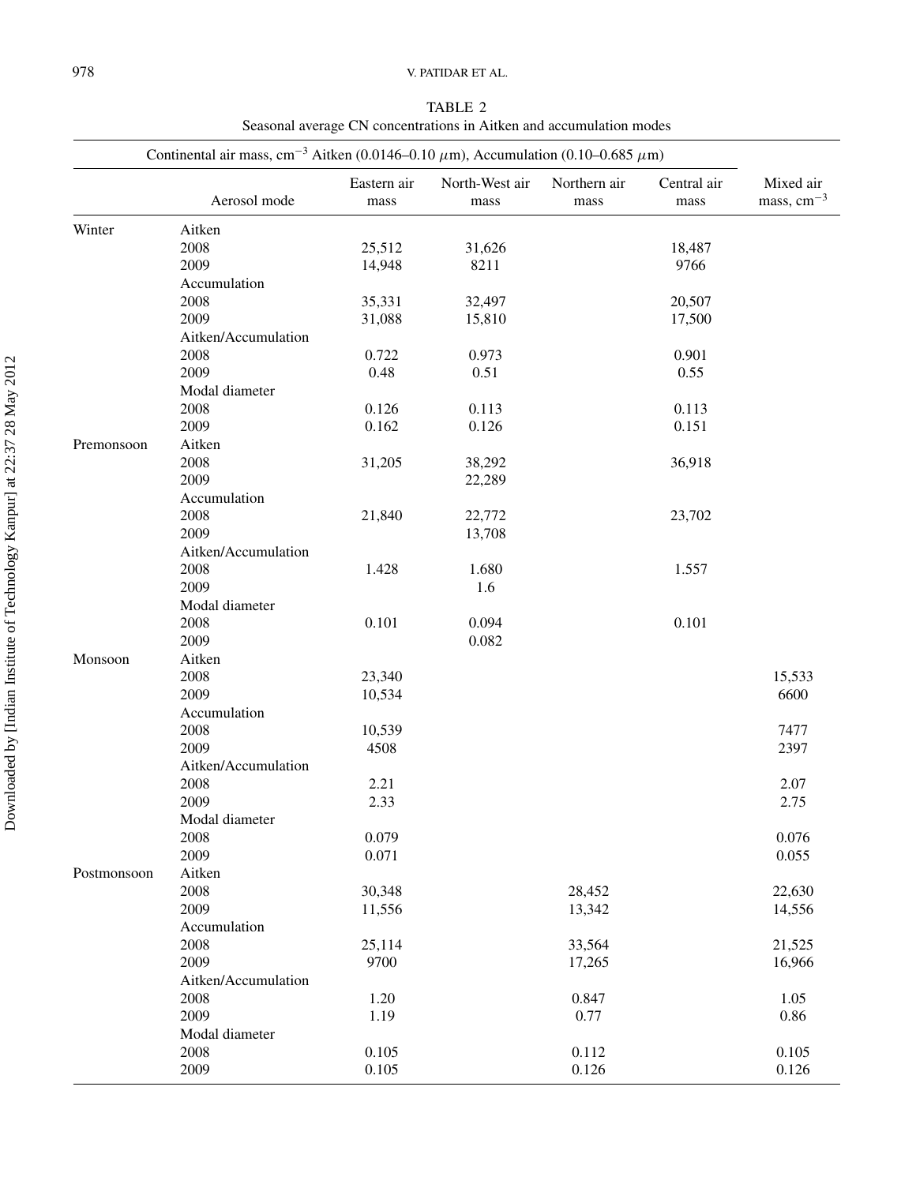| TABLE 2                                                             |
|---------------------------------------------------------------------|
| Seasonal average CN concentrations in Aitken and accumulation modes |

|             |                     | Continental air mass, cm <sup>-3</sup> Aitken (0.0146-0.10 $\mu$ m), Accumulation (0.10-0.685 $\mu$ m) |                        |                      |                     |                           |  |  |
|-------------|---------------------|--------------------------------------------------------------------------------------------------------|------------------------|----------------------|---------------------|---------------------------|--|--|
|             | Aerosol mode        | Eastern air<br>mass                                                                                    | North-West air<br>mass | Northern air<br>mass | Central air<br>mass | Mixed air<br>mass, $cm-3$ |  |  |
| Winter      | Aitken              |                                                                                                        |                        |                      |                     |                           |  |  |
|             | 2008                | 25,512                                                                                                 | 31,626                 |                      | 18,487              |                           |  |  |
|             | 2009                | 14,948                                                                                                 | 8211                   |                      | 9766                |                           |  |  |
|             | Accumulation        |                                                                                                        |                        |                      |                     |                           |  |  |
|             | 2008                | 35,331                                                                                                 | 32,497                 |                      | 20,507              |                           |  |  |
|             | 2009                | 31,088                                                                                                 | 15,810                 |                      | 17,500              |                           |  |  |
|             | Aitken/Accumulation |                                                                                                        |                        |                      |                     |                           |  |  |
|             |                     |                                                                                                        | 0.973                  |                      | 0.901               |                           |  |  |
|             | 2008                | 0.722                                                                                                  |                        |                      |                     |                           |  |  |
|             | 2009                | 0.48                                                                                                   | 0.51                   |                      | 0.55                |                           |  |  |
|             | Modal diameter      |                                                                                                        |                        |                      |                     |                           |  |  |
|             | 2008                | 0.126                                                                                                  | 0.113                  |                      | 0.113               |                           |  |  |
|             | 2009                | 0.162                                                                                                  | 0.126                  |                      | 0.151               |                           |  |  |
| Premonsoon  | Aitken              |                                                                                                        |                        |                      |                     |                           |  |  |
|             | 2008                | 31,205                                                                                                 | 38,292                 |                      | 36,918              |                           |  |  |
|             | 2009                |                                                                                                        | 22,289                 |                      |                     |                           |  |  |
|             | Accumulation        |                                                                                                        |                        |                      |                     |                           |  |  |
|             | 2008                | 21,840                                                                                                 | 22,772                 |                      | 23,702              |                           |  |  |
|             | 2009                |                                                                                                        | 13,708                 |                      |                     |                           |  |  |
|             | Aitken/Accumulation |                                                                                                        |                        |                      |                     |                           |  |  |
|             | 2008                | 1.428                                                                                                  | 1.680                  |                      | 1.557               |                           |  |  |
|             | 2009                |                                                                                                        | 1.6                    |                      |                     |                           |  |  |
|             | Modal diameter      |                                                                                                        |                        |                      |                     |                           |  |  |
|             | 2008                | 0.101                                                                                                  | 0.094                  |                      | 0.101               |                           |  |  |
|             | 2009                |                                                                                                        | 0.082                  |                      |                     |                           |  |  |
|             |                     |                                                                                                        |                        |                      |                     |                           |  |  |
| Monsoon     | Aitken              |                                                                                                        |                        |                      |                     |                           |  |  |
|             | 2008                | 23,340                                                                                                 |                        |                      |                     | 15,533                    |  |  |
|             | 2009                | 10,534                                                                                                 |                        |                      |                     | 6600                      |  |  |
|             | Accumulation        |                                                                                                        |                        |                      |                     |                           |  |  |
|             | 2008                | 10,539                                                                                                 |                        |                      |                     | 7477                      |  |  |
|             | 2009                | 4508                                                                                                   |                        |                      |                     | 2397                      |  |  |
|             | Aitken/Accumulation |                                                                                                        |                        |                      |                     |                           |  |  |
|             | 2008                | 2.21                                                                                                   |                        |                      |                     | 2.07                      |  |  |
|             | 2009                | 2.33                                                                                                   |                        |                      |                     | 2.75                      |  |  |
|             | Modal diameter      |                                                                                                        |                        |                      |                     |                           |  |  |
|             | 2008                | 0.079                                                                                                  |                        |                      |                     | 0.076                     |  |  |
|             | 2009                | 0.071                                                                                                  |                        |                      |                     | 0.055                     |  |  |
| Postmonsoon | Aitken              |                                                                                                        |                        |                      |                     |                           |  |  |
|             | 2008                | 30,348                                                                                                 |                        | 28,452               |                     | 22,630                    |  |  |
|             | 2009                | 11,556                                                                                                 |                        | 13,342               |                     | 14,556                    |  |  |
|             | Accumulation        |                                                                                                        |                        |                      |                     |                           |  |  |
|             | 2008                | 25,114                                                                                                 |                        | 33,564               |                     | 21,525                    |  |  |
|             | 2009                | 9700                                                                                                   |                        |                      |                     |                           |  |  |
|             |                     |                                                                                                        |                        | 17,265               |                     | 16,966                    |  |  |
|             | Aitken/Accumulation |                                                                                                        |                        |                      |                     |                           |  |  |
|             | 2008                | 1.20                                                                                                   |                        | 0.847                |                     | 1.05                      |  |  |
|             | 2009                | 1.19                                                                                                   |                        | 0.77                 |                     | 0.86                      |  |  |
|             | Modal diameter      |                                                                                                        |                        |                      |                     |                           |  |  |
|             | 2008                | 0.105                                                                                                  |                        | 0.112                |                     | 0.105                     |  |  |
|             | 2009                | 0.105                                                                                                  |                        | 0.126                |                     | 0.126                     |  |  |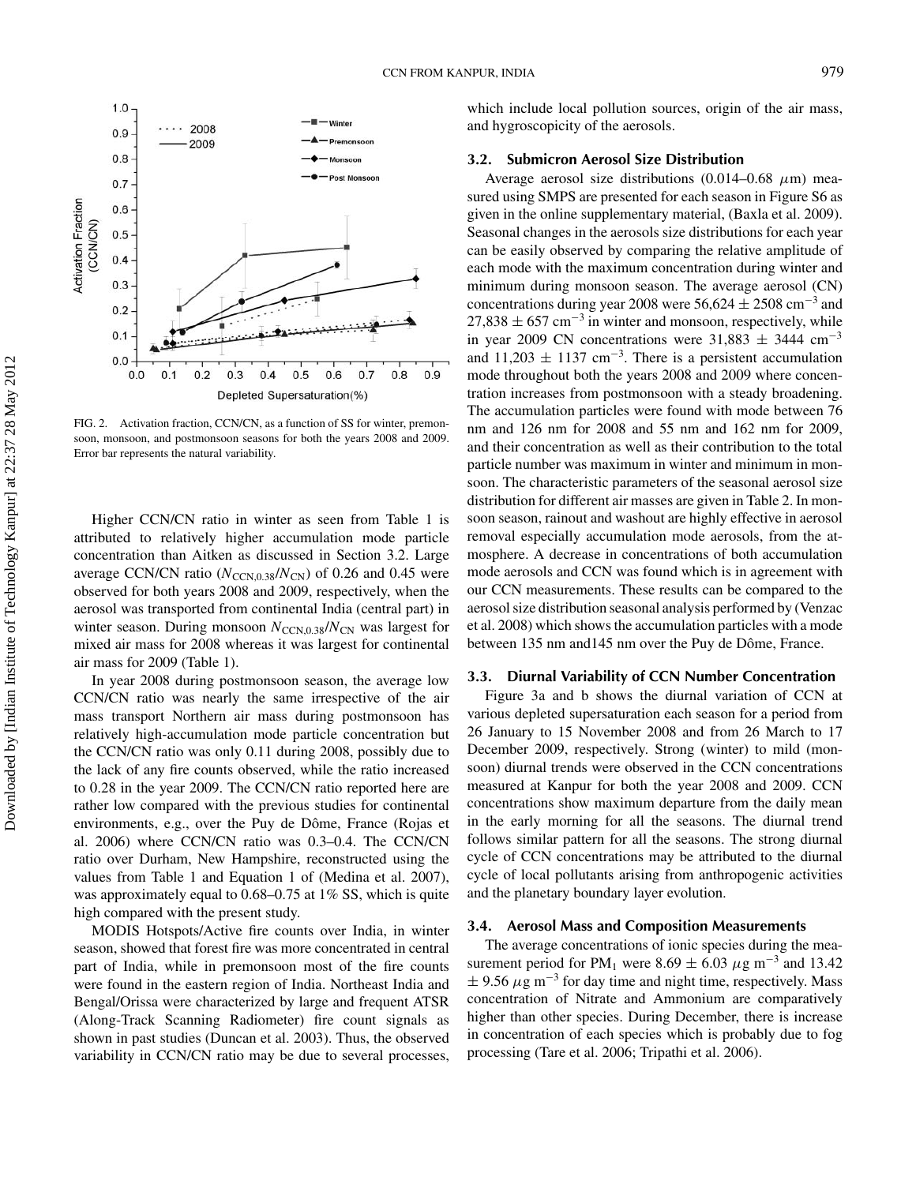

FIG. 2. Activation fraction, CCN/CN, as a function of SS for winter, premonsoon, monsoon, and postmonsoon seasons for both the years 2008 and 2009. Error bar represents the natural variability.

Higher CCN/CN ratio in winter as seen from Table 1 is attributed to relatively higher accumulation mode particle concentration than Aitken as discussed in Section 3.2. Large average CCN/CN ratio ( $N_{\text{CCN},0.38}/N_{\text{CN}}$ ) of 0.26 and 0.45 were observed for both years 2008 and 2009, respectively, when the aerosol was transported from continental India (central part) in winter season. During monsoon  $N_{\text{CCN.0.38}}/N_{\text{CN}}$  was largest for mixed air mass for 2008 whereas it was largest for continental air mass for 2009 (Table 1).

In year 2008 during postmonsoon season, the average low CCN/CN ratio was nearly the same irrespective of the air mass transport Northern air mass during postmonsoon has relatively high-accumulation mode particle concentration but the CCN/CN ratio was only 0.11 during 2008, possibly due to the lack of any fire counts observed, while the ratio increased to 0.28 in the year 2009. The CCN/CN ratio reported here are rather low compared with the previous studies for continental environments, e.g., over the Puy de Dôme, France (Rojas et al. 2006) where CCN/CN ratio was 0.3–0.4. The CCN/CN ratio over Durham, New Hampshire, reconstructed using the values from Table 1 and Equation 1 of (Medina et al. 2007), was approximately equal to 0.68–0.75 at 1% SS, which is quite high compared with the present study.

MODIS Hotspots/Active fire counts over India, in winter season, showed that forest fire was more concentrated in central part of India, while in premonsoon most of the fire counts were found in the eastern region of India. Northeast India and Bengal/Orissa were characterized by large and frequent ATSR (Along-Track Scanning Radiometer) fire count signals as shown in past studies (Duncan et al. 2003). Thus, the observed variability in CCN/CN ratio may be due to several processes, which include local pollution sources, origin of the air mass, and hygroscopicity of the aerosols.

# **3.2. Submicron Aerosol Size Distribution**

Average aerosol size distributions (0.014–0.68  $\mu$ m) measured using SMPS are presented for each season in Figure S6 as given in the online supplementary material, (Baxla et al. 2009). Seasonal changes in the aerosols size distributions for each year can be easily observed by comparing the relative amplitude of each mode with the maximum concentration during winter and minimum during monsoon season. The average aerosol (CN) concentrations during year 2008 were  $56,624 \pm 2508$  cm<sup>-3</sup> and  $27,838 \pm 657$  cm<sup>-3</sup> in winter and monsoon, respectively, while in year 2009 CN concentrations were  $31,883 \pm 3444$  cm<sup>-3</sup> and  $11,203 \pm 1137$  cm<sup>-3</sup>. There is a persistent accumulation mode throughout both the years 2008 and 2009 where concentration increases from postmonsoon with a steady broadening. The accumulation particles were found with mode between 76 nm and 126 nm for 2008 and 55 nm and 162 nm for 2009, and their concentration as well as their contribution to the total particle number was maximum in winter and minimum in monsoon. The characteristic parameters of the seasonal aerosol size distribution for different air masses are given in Table 2. In monsoon season, rainout and washout are highly effective in aerosol removal especially accumulation mode aerosols, from the atmosphere. A decrease in concentrations of both accumulation mode aerosols and CCN was found which is in agreement with our CCN measurements. These results can be compared to the aerosol size distribution seasonal analysis performed by (Venzac et al. 2008) which shows the accumulation particles with a mode between 135 nm and 145 nm over the Puy de Dôme, France.

#### **3.3. Diurnal Variability of CCN Number Concentration**

Figure 3a and b shows the diurnal variation of CCN at various depleted supersaturation each season for a period from 26 January to 15 November 2008 and from 26 March to 17 December 2009, respectively. Strong (winter) to mild (monsoon) diurnal trends were observed in the CCN concentrations measured at Kanpur for both the year 2008 and 2009. CCN concentrations show maximum departure from the daily mean in the early morning for all the seasons. The diurnal trend follows similar pattern for all the seasons. The strong diurnal cycle of CCN concentrations may be attributed to the diurnal cycle of local pollutants arising from anthropogenic activities and the planetary boundary layer evolution.

### **3.4. Aerosol Mass and Composition Measurements**

The average concentrations of ionic species during the measurement period for PM<sub>1</sub> were 8.69  $\pm$  6.03  $\mu$ g m<sup>-3</sup> and 13.42  $\pm$  9.56  $\mu$ g m<sup>-3</sup> for day time and night time, respectively. Mass concentration of Nitrate and Ammonium are comparatively higher than other species. During December, there is increase in concentration of each species which is probably due to fog processing (Tare et al. 2006; Tripathi et al. 2006).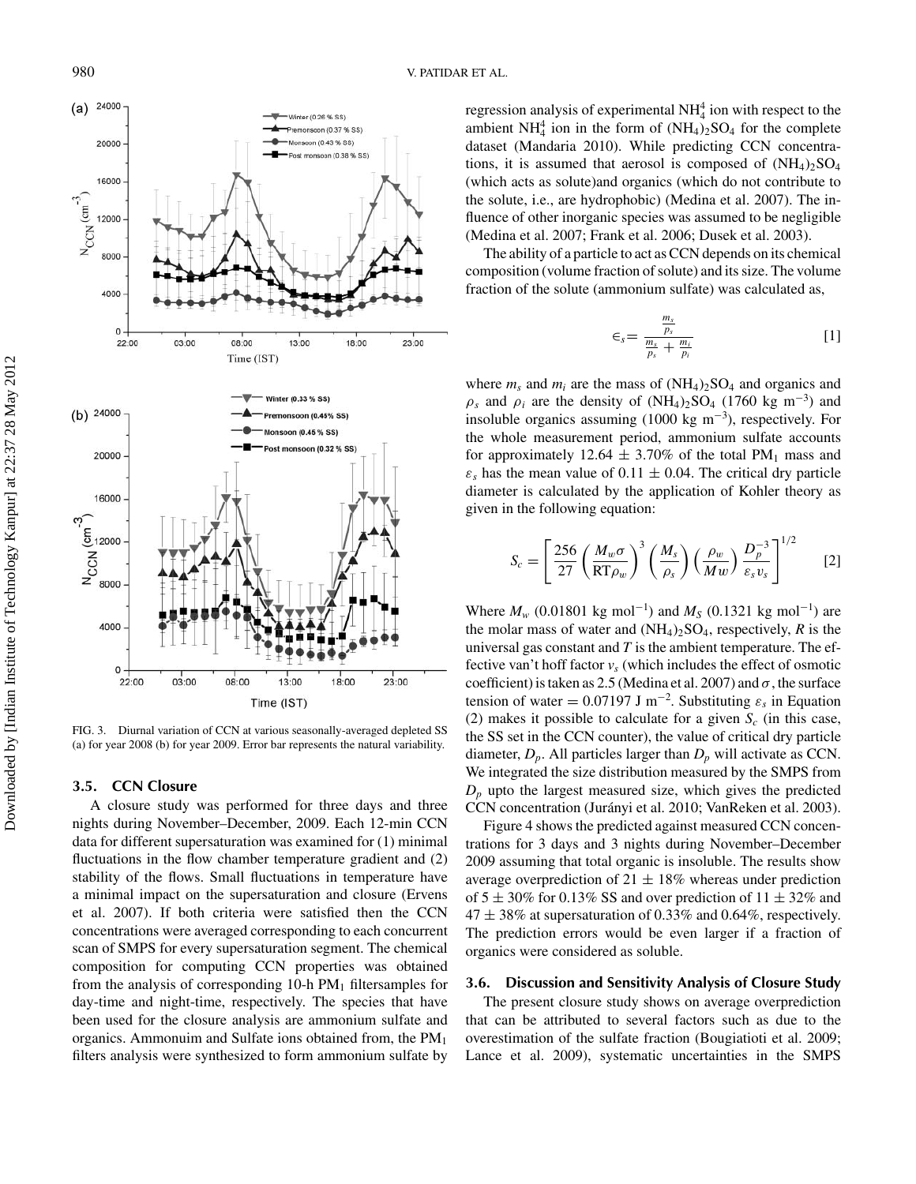

FIG. 3. Diurnal variation of CCN at various seasonally-averaged depleted SS (a) for year 2008 (b) for year 2009. Error bar represents the natural variability.

# **3.5. CCN Closure**

A closure study was performed for three days and three nights during November–December, 2009. Each 12-min CCN data for different supersaturation was examined for (1) minimal fluctuations in the flow chamber temperature gradient and (2) stability of the flows. Small fluctuations in temperature have a minimal impact on the supersaturation and closure (Ervens et al. 2007). If both criteria were satisfied then the CCN concentrations were averaged corresponding to each concurrent scan of SMPS for every supersaturation segment. The chemical composition for computing CCN properties was obtained from the analysis of corresponding 10-h  $PM<sub>1</sub>$  filtersamples for day-time and night-time, respectively. The species that have been used for the closure analysis are ammonium sulfate and organics. Ammonuim and Sulfate ions obtained from, the PM1 filters analysis were synthesized to form ammonium sulfate by

regression analysis of experimental  $NH<sub>4</sub><sup>4</sup>$  ion with respect to the ambient  $NH_4^4$  ion in the form of  $(NH_4)_2SO_4$  for the complete dataset (Mandaria 2010). While predicting CCN concentrations, it is assumed that aerosol is composed of  $(NH_4)_2SO_4$ (which acts as solute)and organics (which do not contribute to the solute, i.e., are hydrophobic) (Medina et al. 2007). The influence of other inorganic species was assumed to be negligible (Medina et al. 2007; Frank et al. 2006; Dusek et al. 2003).

The ability of a particle to act as CCN depends on its chemical composition (volume fraction of solute) and its size. The volume fraction of the solute (ammonium sulfate) was calculated as,

$$
\epsilon_s = \frac{\frac{m_s}{p_s}}{\frac{m_s}{p_s} + \frac{m_i}{p_i}}\tag{1}
$$

where  $m_s$  and  $m_i$  are the mass of  $(NH_4)_2SO_4$  and organics and  $\rho_s$  and  $\rho_i$  are the density of (NH<sub>4</sub>)<sub>2</sub>SO<sub>4</sub> (1760 kg m<sup>-3</sup>) and insoluble organics assuming  $(1000 \text{ kg m}^{-3})$ , respectively. For the whole measurement period, ammonium sulfate accounts for approximately 12.64  $\pm$  3.70% of the total PM<sub>1</sub> mass and  $\varepsilon$ <sub>s</sub> has the mean value of 0.11  $\pm$  0.04. The critical dry particle diameter is calculated by the application of Kohler theory as given in the following equation:

$$
S_c = \left[\frac{256}{27} \left(\frac{M_w \sigma}{RT \rho_w}\right)^3 \left(\frac{M_s}{\rho_s}\right) \left(\frac{\rho_w}{Mw}\right) \frac{D_p^{-3}}{\varepsilon_s v_s}\right]^{1/2} \qquad [2]
$$

Where  $M_w$  (0.01801 kg mol<sup>-1</sup>) and  $M_S$  (0.1321 kg mol<sup>-1</sup>) are the molar mass of water and  $(NH_4)_2SO_4$ , respectively, *R* is the universal gas constant and *T* is the ambient temperature. The effective van't hoff factor  $v<sub>s</sub>$  (which includes the effect of osmotic coefficient) is taken as 2.5 (Medina et al. 2007) and  $\sigma$ , the surface tension of water =  $0.07197 \text{ J m}^{-2}$ . Substituting  $\varepsilon_s$  in Equation (2) makes it possible to calculate for a given  $S_c$  (in this case, the SS set in the CCN counter), the value of critical dry particle diameter,  $D_p$ . All particles larger than  $D_p$  will activate as CCN. We integrated the size distribution measured by the SMPS from  $D<sub>p</sub>$  upto the largest measured size, which gives the predicted CCN concentration (Jurányi et al. 2010; VanReken et al. 2003).

Figure 4 shows the predicted against measured CCN concentrations for 3 days and 3 nights during November–December 2009 assuming that total organic is insoluble. The results show average overprediction of  $21 \pm 18\%$  whereas under prediction of  $5 \pm 30\%$  for 0.13% SS and over prediction of  $11 \pm 32\%$  and  $47 \pm 38\%$  at supersaturation of 0.33% and 0.64%, respectively. The prediction errors would be even larger if a fraction of organics were considered as soluble.

### **3.6. Discussion and Sensitivity Analysis of Closure Study**

The present closure study shows on average overprediction that can be attributed to several factors such as due to the overestimation of the sulfate fraction (Bougiatioti et al. 2009; Lance et al. 2009), systematic uncertainties in the SMPS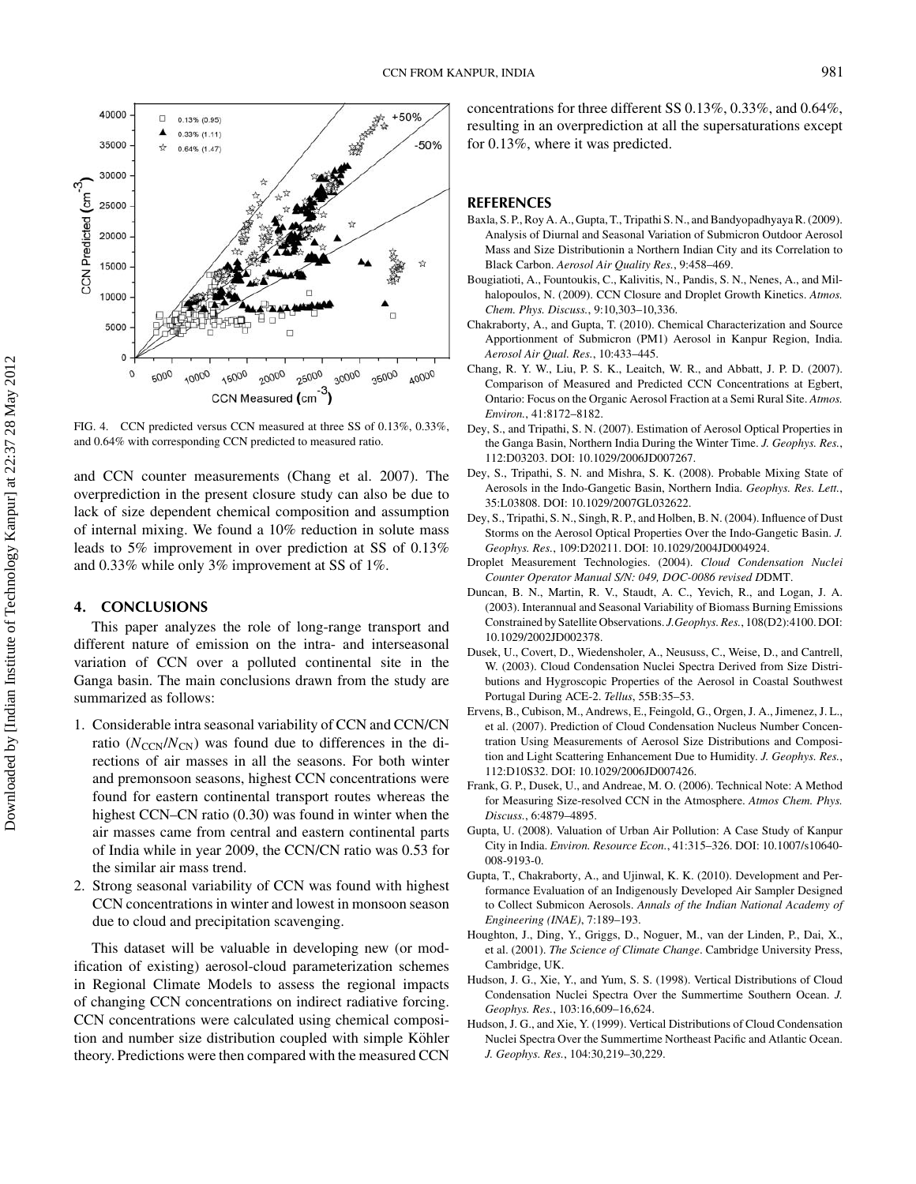

FIG. 4. CCN predicted versus CCN measured at three SS of 0.13%, 0.33%, and 0.64% with corresponding CCN predicted to measured ratio.

and CCN counter measurements (Chang et al. 2007). The overprediction in the present closure study can also be due to lack of size dependent chemical composition and assumption of internal mixing. We found a 10% reduction in solute mass leads to 5% improvement in over prediction at SS of 0.13% and 0.33% while only 3% improvement at SS of 1%.

# **4. CONCLUSIONS**

This paper analyzes the role of long-range transport and different nature of emission on the intra- and interseasonal variation of CCN over a polluted continental site in the Ganga basin. The main conclusions drawn from the study are summarized as follows:

- 1. Considerable intra seasonal variability of CCN and CCN/CN ratio  $(N_{\text{CCN}}/N_{\text{CN}})$  was found due to differences in the directions of air masses in all the seasons. For both winter and premonsoon seasons, highest CCN concentrations were found for eastern continental transport routes whereas the highest CCN–CN ratio (0.30) was found in winter when the air masses came from central and eastern continental parts of India while in year 2009, the CCN/CN ratio was 0.53 for the similar air mass trend.
- 2. Strong seasonal variability of CCN was found with highest CCN concentrations in winter and lowest in monsoon season due to cloud and precipitation scavenging.

This dataset will be valuable in developing new (or modification of existing) aerosol-cloud parameterization schemes in Regional Climate Models to assess the regional impacts of changing CCN concentrations on indirect radiative forcing. CCN concentrations were calculated using chemical composition and number size distribution coupled with simple Köhler theory. Predictions were then compared with the measured CCN concentrations for three different SS 0.13%, 0.33%, and 0.64%, resulting in an overprediction at all the supersaturations except for 0.13%, where it was predicted.

# **REFERENCES**

- Baxla, S. P., Roy A. A., Gupta, T., Tripathi S. N., and Bandyopadhyaya R. (2009). Analysis of Diurnal and Seasonal Variation of Submicron Outdoor Aerosol Mass and Size Distributionin a Northern Indian City and its Correlation to Black Carbon. *Aerosol Air Quality Res.*, 9:458–469.
- Bougiatioti, A., Fountoukis, C., Kalivitis, N., Pandis, S. N., Nenes, A., and Milhalopoulos, N. (2009). CCN Closure and Droplet Growth Kinetics. *Atmos. Chem. Phys. Discuss.*, 9:10,303–10,336.
- Chakraborty, A., and Gupta, T. (2010). Chemical Characterization and Source Apportionment of Submicron (PM1) Aerosol in Kanpur Region, India. *Aerosol Air Qual. Res.*, 10:433–445.
- Chang, R. Y. W., Liu, P. S. K., Leaitch, W. R., and Abbatt, J. P. D. (2007). Comparison of Measured and Predicted CCN Concentrations at Egbert, Ontario: Focus on the Organic Aerosol Fraction at a Semi Rural Site. *Atmos. Environ.*, 41:8172–8182.
- Dey, S., and Tripathi, S. N. (2007). Estimation of Aerosol Optical Properties in the Ganga Basin, Northern India During the Winter Time. *J. Geophys. Res.*, 112:D03203. DOI: 10.1029/2006JD007267.
- Dey, S., Tripathi, S. N. and Mishra, S. K. (2008). Probable Mixing State of Aerosols in the Indo-Gangetic Basin, Northern India. *Geophys. Res. Lett.*, 35:L03808. DOI: 10.1029/2007GL032622.
- Dey, S., Tripathi, S. N., Singh, R. P., and Holben, B. N. (2004). Influence of Dust Storms on the Aerosol Optical Properties Over the Indo-Gangetic Basin. *J. Geophys. Res.*, 109:D20211. DOI: 10.1029/2004JD004924.
- Droplet Measurement Technologies. (2004). *Cloud Condensation Nuclei Counter Operator Manual S/N: 049, DOC-0086 revised D*DMT.
- Duncan, B. N., Martin, R. V., Staudt, A. C., Yevich, R., and Logan, J. A. (2003). Interannual and Seasonal Variability of Biomass Burning Emissions Constrained by Satellite Observations. *J.Geophys. Res.*, 108(D2):4100. DOI: 10.1029/2002JD002378.
- Dusek, U., Covert, D., Wiedensholer, A., Neususs, C., Weise, D., and Cantrell, W. (2003). Cloud Condensation Nuclei Spectra Derived from Size Distributions and Hygroscopic Properties of the Aerosol in Coastal Southwest Portugal During ACE-2. *Tellus*, 55B:35–53.
- Ervens, B., Cubison, M., Andrews, E., Feingold, G., Orgen, J. A., Jimenez, J. L., et al. (2007). Prediction of Cloud Condensation Nucleus Number Concentration Using Measurements of Aerosol Size Distributions and Composition and Light Scattering Enhancement Due to Humidity. *J. Geophys. Res.*, 112:D10S32. DOI: 10.1029/2006JD007426.
- Frank, G. P., Dusek, U., and Andreae, M. O. (2006). Technical Note: A Method for Measuring Size-resolved CCN in the Atmosphere. *Atmos Chem. Phys. Discuss.*, 6:4879–4895.
- Gupta, U. (2008). Valuation of Urban Air Pollution: A Case Study of Kanpur City in India. *Environ. Resource Econ.*, 41:315–326. DOI: 10.1007/s10640- 008-9193-0.
- Gupta, T., Chakraborty, A., and Ujinwal, K. K. (2010). Development and Performance Evaluation of an Indigenously Developed Air Sampler Designed to Collect Submicon Aerosols. *Annals of the Indian National Academy of Engineering (INAE)*, 7:189–193.
- Houghton, J., Ding, Y., Griggs, D., Noguer, M., van der Linden, P., Dai, X., et al. (2001). *The Science of Climate Change*. Cambridge University Press, Cambridge, UK.
- Hudson, J. G., Xie, Y., and Yum, S. S. (1998). Vertical Distributions of Cloud Condensation Nuclei Spectra Over the Summertime Southern Ocean. *J. Geophys. Res.*, 103:16,609–16,624.
- Hudson, J. G., and Xie, Y. (1999). Vertical Distributions of Cloud Condensation Nuclei Spectra Over the Summertime Northeast Pacific and Atlantic Ocean. *J. Geophys. Res.*, 104:30,219–30,229.